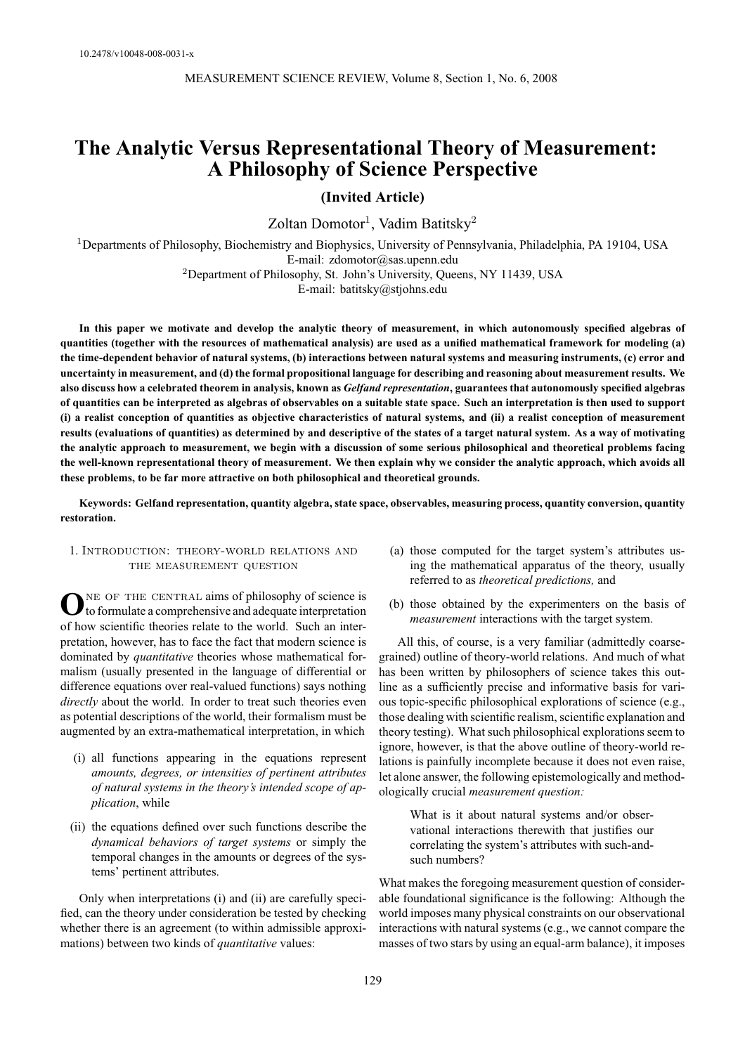# **The Analytic Versus Representational Theory of Measurement: A Philosophy of Science Perspective**

**(Invited Article)**

Zoltan Domotor<sup>1</sup>, Vadim Batitsky<sup>2</sup>

<sup>1</sup>Departments of Philosophy, Biochemistry and Biophysics, University of Pennsylvania, Philadelphia, PA 19104, USA E-mail: zdomotor@sas.upenn.edu

<sup>2</sup>Department of Philosophy, St. John's University, Queens, NY 11439, USA

E-mail: batitsky@stjohns.edu

**In this paper we motivate and develop the analytic theory of measurement, in which autonomously specified algebras of quantities (together with the resources of mathematical analysis) are used as a unified mathematical framework for modeling (a) the time-dependent behavior of natural systems, (b) interactions between natural systems and measuring instruments, (c) error and uncertainty in measurement, and (d) the formal propositional language for describing and reasoning about measurement results. We also discuss how a celebrated theorem in analysis, known as** *Gelfand representation***, guarantees that autonomously specified algebras of quantities can be interpreted as algebras of observables on a suitable state space. Such an interpretation is then used to support (i) a realist conception of quantities as objective characteristics of natural systems, and (ii) a realist conception of measurement results (evaluations of quantities) as determined by and descriptive of the states of a target natural system. As a way of motivating the analytic approach to measurement, we begin with a discussion of some serious philosophical and theoretical problems facing the well-known representational theory of measurement. We then explain why we consider the analytic approach, which avoids all these problems, to be far more attractive on both philosophical and theoretical grounds.**

**Keywords: Gelfand representation, quantity algebra, state space, observables, measuring process, quantity conversion, quantity restoration.**

# 1. Introduction: theory-world relations and the measurement question

ONE OF THE CENTRAL aims of philosophy of science is<br>to formulate a comprehensive and adequate interpretation of how scientific theories relate to the world. Such an interpretation, however, has to face the fact that modern science is dominated by *quantitative* theories whose mathematical formalism (usually presented in the language of differential or difference equations over real-valued functions) says nothing *directly* about the world. In order to treat such theories even as potential descriptions of the world, their formalism must be augmented by an extra-mathematical interpretation, in which

- (i) all functions appearing in the equations represent *amounts, degrees, or intensities of pertinent attributes of natural systems in the theory's intended scope of application*, while
- (ii) the equations defined over such functions describe the *dynamical behaviors of target systems* or simply the temporal changes in the amounts or degrees of the systems' pertinent attributes.

Only when interpretations (i) and (ii) are carefully specified, can the theory under consideration be tested by checking whether there is an agreement (to within admissible approximations) between two kinds of *quantitative* values:

- (a) those computed for the target system's attributes using the mathematical apparatus of the theory, usually referred to as *theoretical predictions,* and
- (b) those obtained by the experimenters on the basis of *measurement* interactions with the target system.

All this, of course, is a very familiar (admittedly coarsegrained) outline of theory-world relations. And much of what has been written by philosophers of science takes this outline as a sufficiently precise and informative basis for various topic-specific philosophical explorations of science (e.g., those dealing with scientific realism, scientific explanation and theory testing). What such philosophical explorations seem to ignore, however, is that the above outline of theory-world relations is painfully incomplete because it does not even raise, let alone answer, the following epistemologically and methodologically crucial *measurement question:*

> What is it about natural systems and/or observational interactions therewith that justifies our correlating the system's attributes with such-andsuch numbers?

What makes the foregoing measurement question of considerable foundational significance is the following: Although the world imposes many physical constraints on our observational interactions with natural systems (e.g., we cannot compare the masses of two stars by using an equal-arm balance), it imposes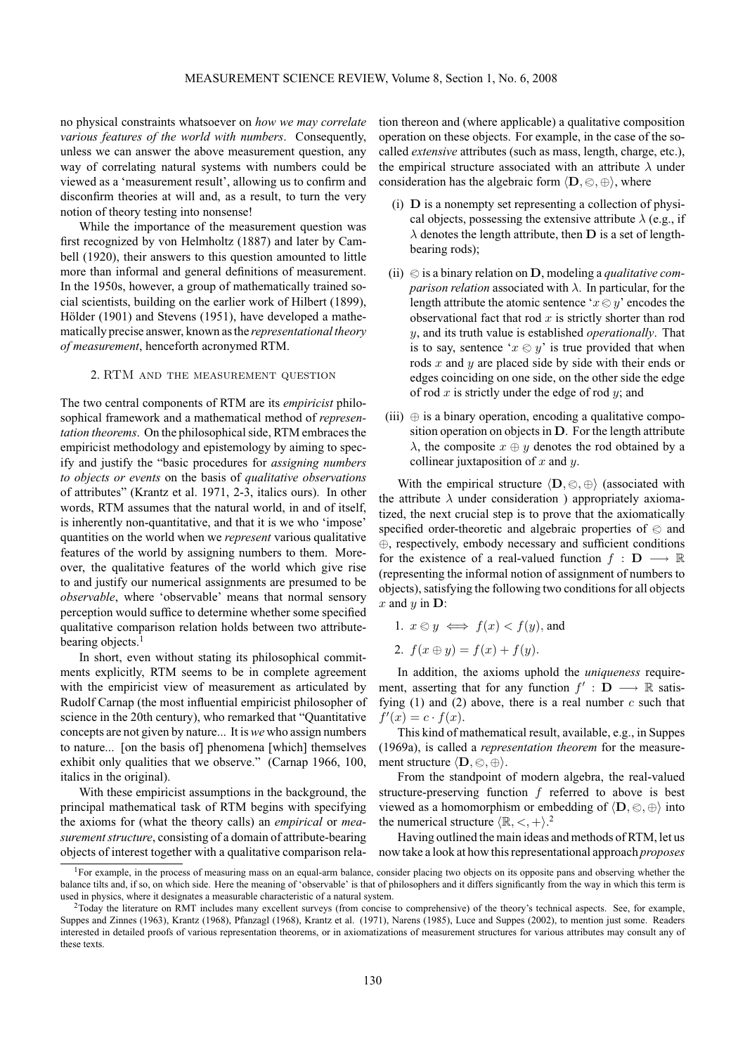no physical constraints whatsoever on *how we may correlate various features of the world with numbers*. Consequently, unless we can answer the above measurement question, any way of correlating natural systems with numbers could be viewed as a 'measurement result', allowing us to confirm and disconfirm theories at will and, as a result, to turn the very notion of theory testing into nonsense!

While the importance of the measurement question was first recognized by von Helmholtz (1887) and later by Cambell (1920), their answers to this question amounted to little more than informal and general definitions of measurement. In the 1950s, however, a group of mathematically trained social scientists, building on the earlier work of Hilbert (1899), Hölder (1901) and Stevens (1951), have developed a mathematically precise answer, known as the *representational theory of measurement*, henceforth acronymed RTM.

## 2. RTM and the measurement question

The two central components of RTM are its *empiricist* philosophical framework and a mathematical method of *representation theorems*. On the philosophical side, RTM embraces the empiricist methodology and epistemology by aiming to specify and justify the "basic procedures for *assigning numbers to objects or events* on the basis of *qualitative observations* of attributes" (Krantz et al. 1971, 2-3, italics ours). In other words, RTM assumes that the natural world, in and of itself, is inherently non-quantitative, and that it is we who 'impose' quantities on the world when we *represent* various qualitative features of the world by assigning numbers to them. Moreover, the qualitative features of the world which give rise to and justify our numerical assignments are presumed to be *observable*, where 'observable' means that normal sensory perception would suffice to determine whether some specified qualitative comparison relation holds between two attributebearing objects.<sup>1</sup>

In short, even without stating its philosophical commitments explicitly, RTM seems to be in complete agreement with the empiricist view of measurement as articulated by Rudolf Carnap (the most influential empiricist philosopher of science in the 20th century), who remarked that "Quantitative concepts are not given by nature... It is*we* who assign numbers to nature... [on the basis of] phenomena [which] themselves exhibit only qualities that we observe." (Carnap 1966, 100, italics in the original).

With these empiricist assumptions in the background, the principal mathematical task of RTM begins with specifying the axioms for (what the theory calls) an *empirical* or *measurement structure*, consisting of a domain of attribute-bearing objects of interest together with a qualitative comparison rela-

tion thereon and (where applicable) a qualitative composition operation on these objects. For example, in the case of the socalled *extensive* attributes (such as mass, length, charge, etc.), the empirical structure associated with an attribute  $\lambda$  under consideration has the algebraic form  $\langle \mathbf{D}, \otimes, \oplus \rangle$ , where

- (i) **D** is a nonempty set representing a collection of physical objects, possessing the extensive attribute  $\lambda$  (e.g., if  $\lambda$  denotes the length attribute, then **D** is a set of lengthbearing rods);
- (ii)  $\otimes$  is a binary relation on **D**, modeling a *qualitative comparison relation* associated with  $\lambda$ . In particular, for the length attribute the atomic sentence ' $x \otimes y$ ' encodes the observational fact that rod  $x$  is strictly shorter than rod y, and its truth value is established *operationally*. That is to say, sentence ' $x \otimes y$ ' is true provided that when rods  $x$  and  $y$  are placed side by side with their ends or edges coinciding on one side, on the other side the edge of rod  $x$  is strictly under the edge of rod  $y$ ; and
- (iii)  $\oplus$  is a binary operation, encoding a qualitative composition operation on objects in **D**. For the length attribute  $\lambda$ , the composite  $x \oplus y$  denotes the rod obtained by a collinear juxtaposition of  $x$  and  $y$ .

With the empirical structure  $\langle \mathbf{D}, \otimes, \oplus \rangle$  (associated with the attribute  $\lambda$  under consideration ) appropriately axiomatized, the next crucial step is to prove that the axiomatically specified order-theoretic and algebraic properties of  $\odot$  and ⊕, respectively, embody necessary and sufficient conditions for the existence of a real-valued function  $f : D \longrightarrow \mathbb{R}$ (representing the informal notion of assignment of numbers to objects), satisfying the following two conditions for all objects  $x$  and  $y$  in  $D$ :

1. 
$$
x \otimes y \iff f(x) < f(y)
$$
, and

$$
2. f(x \oplus y) = f(x) + f(y).
$$

In addition, the axioms uphold the *uniqueness* requirement, asserting that for any function  $f' : D \longrightarrow \mathbb{R}$  satisfying (1) and (2) above, there is a real number  $c$  such that  $f'(x) = c \cdot f(x).$ <br>This kind of n

This kind of mathematical result, available, e.g., in Suppes (1969a), is called a *representation theorem* for the measurement structure  $\langle \mathbf{D}, \otimes, \oplus \rangle$ .

From the standpoint of modern algebra, the real-valued structure-preserving function f referred to above is best viewed as a homomorphism or embedding of  $\langle \mathbf{D}, \otimes, \oplus \rangle$  into the numerical structure  $\langle \mathbb{R}, \langle , + \rangle$ .<sup>2</sup><br>Having outlined the main ideas

Having outlined the main ideas and methods of RTM, let us now take a look at how this representational approach *proposes*

 ${}^{1}$ For example, in the process of measuring mass on an equal-arm balance, consider placing two objects on its opposite pans and observing whether the balance tilts and, if so, on which side. Here the meaning of 'observable' is that of philosophers and it differs significantly from the way in which this term is used in physics, where it designates a measurable characteristic of a natural system.

 $<sup>2</sup>$ Today the literature on RMT includes many excellent surveys (from concise to comprehensive) of the theory's technical aspects. See, for example,</sup> Suppes and Zinnes (1963), Krantz (1968), Pfanzagl (1968), Krantz et al. (1971), Narens (1985), Luce and Suppes (2002), to mention just some. Readers interested in detailed proofs of various representation theorems, or in axiomatizations of measurement structures for various attributes may consult any of these texts.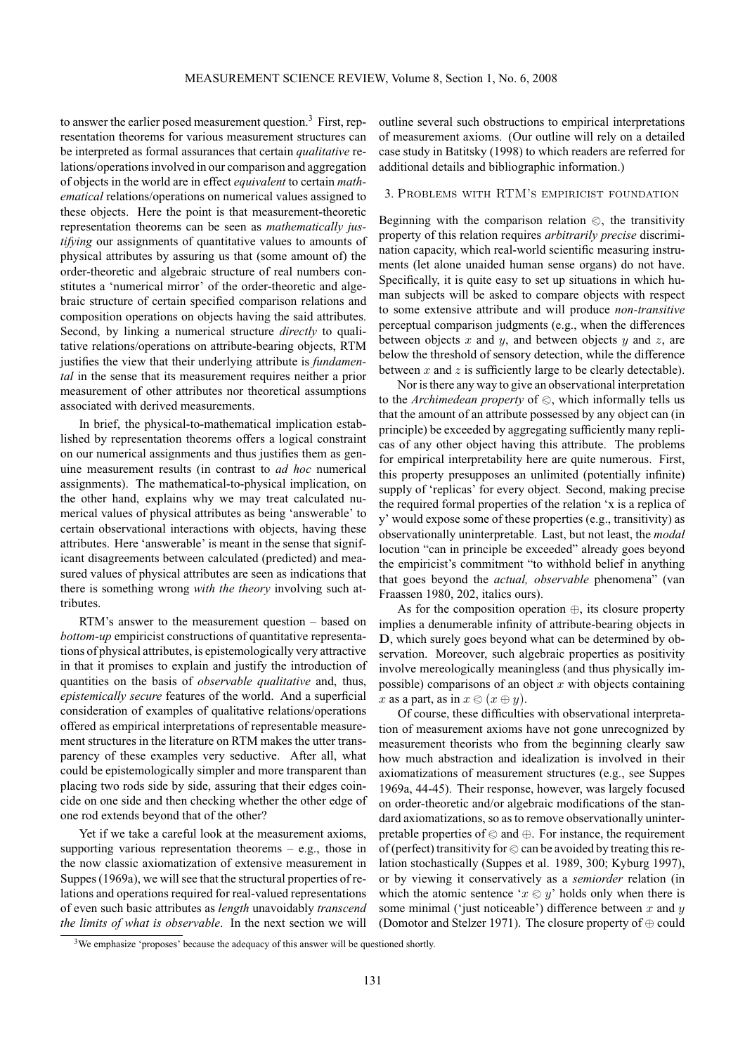to answer the earlier posed measurement question.<sup>3</sup> First, representation theorems for various measurement structures can be interpreted as formal assurances that certain *qualitative* relations/operations involved in our comparison and aggregation of objects in the world are in effect *equivalent* to certain *mathematical* relations/operations on numerical values assigned to these objects. Here the point is that measurement-theoretic representation theorems can be seen as *mathematically justifying* our assignments of quantitative values to amounts of physical attributes by assuring us that (some amount of) the order-theoretic and algebraic structure of real numbers constitutes a 'numerical mirror' of the order-theoretic and algebraic structure of certain specified comparison relations and composition operations on objects having the said attributes. Second, by linking a numerical structure *directly* to qualitative relations/operations on attribute-bearing objects, RTM justifies the view that their underlying attribute is *fundamental* in the sense that its measurement requires neither a prior measurement of other attributes nor theoretical assumptions associated with derived measurements.

In brief, the physical-to-mathematical implication established by representation theorems offers a logical constraint on our numerical assignments and thus justifies them as genuine measurement results (in contrast to *ad hoc* numerical assignments). The mathematical-to-physical implication, on the other hand, explains why we may treat calculated numerical values of physical attributes as being 'answerable' to certain observational interactions with objects, having these attributes. Here 'answerable' is meant in the sense that significant disagreements between calculated (predicted) and measured values of physical attributes are seen as indications that there is something wrong *with the theory* involving such attributes.

RTM's answer to the measurement question – based on *bottom-up* empiricist constructions of quantitative representations of physical attributes, is epistemologically very attractive in that it promises to explain and justify the introduction of quantities on the basis of *observable qualitative* and, thus, *epistemically secure* features of the world. And a superficial consideration of examples of qualitative relations/operations offered as empirical interpretations of representable measurement structures in the literature on RTM makes the utter transparency of these examples very seductive. After all, what could be epistemologically simpler and more transparent than placing two rods side by side, assuring that their edges coincide on one side and then checking whether the other edge of one rod extends beyond that of the other?

Yet if we take a careful look at the measurement axioms, supporting various representation theorems  $-$  e.g., those in the now classic axiomatization of extensive measurement in Suppes (1969a), we will see that the structural properties of relations and operations required for real-valued representations of even such basic attributes as *length* unavoidably *transcend the limits of what is observable*. In the next section we will

outline several such obstructions to empirical interpretations of measurement axioms. (Our outline will rely on a detailed case study in Batitsky (1998) to which readers are referred for additional details and bibliographic information.)

## 3. Problems with RTM's empiricist foundation

Beginning with the comparison relation  $\otimes$ , the transitivity property of this relation requires *arbitrarily precise* discrimination capacity, which real-world scientific measuring instruments (let alone unaided human sense organs) do not have. Specifically, it is quite easy to set up situations in which human subjects will be asked to compare objects with respect to some extensive attribute and will produce *non-transitive* perceptual comparison judgments (e.g., when the differences between objects x and y, and between objects y and z, are below the threshold of sensory detection, while the difference between  $x$  and  $z$  is sufficiently large to be clearly detectable).

Nor is there any way to give an observational interpretation to the *Archimedean property* of  $\otimes$ , which informally tells us that the amount of an attribute possessed by any object can (in principle) be exceeded by aggregating sufficiently many replicas of any other object having this attribute. The problems for empirical interpretability here are quite numerous. First, this property presupposes an unlimited (potentially infinite) supply of 'replicas' for every object. Second, making precise the required formal properties of the relation 'x is a replica of y' would expose some of these properties (e.g., transitivity) as observationally uninterpretable. Last, but not least, the *modal* locution "can in principle be exceeded" already goes beyond the empiricist's commitment "to withhold belief in anything that goes beyond the *actual, observable* phenomena" (van Fraassen 1980, 202, italics ours).

As for the composition operation ⊕, its closure property implies a denumerable infinity of attribute-bearing objects in **D**, which surely goes beyond what can be determined by observation. Moreover, such algebraic properties as positivity involve mereologically meaningless (and thus physically impossible) comparisons of an object  $x$  with objects containing x as a part, as in  $x \otimes (x \oplus y)$ .

Of course, these difficulties with observational interpretation of measurement axioms have not gone unrecognized by measurement theorists who from the beginning clearly saw how much abstraction and idealization is involved in their axiomatizations of measurement structures (e.g., see Suppes 1969a, 44-45). Their response, however, was largely focused on order-theoretic and/or algebraic modifications of the standard axiomatizations, so as to remove observationally uninterpretable properties of  $\otimes$  and  $\oplus$ . For instance, the requirement of (perfect) transitivity for  $\odot$  can be avoided by treating this relation stochastically (Suppes et al. 1989, 300; Kyburg 1997), or by viewing it conservatively as a *semiorder* relation (in which the atomic sentence ' $x \otimes y$ ' holds only when there is some minimal ('just noticeable') difference between  $x$  and  $y$ (Domotor and Stelzer 1971). The closure property of ⊕ could

 $3$ We emphasize 'proposes' because the adequacy of this answer will be questioned shortly.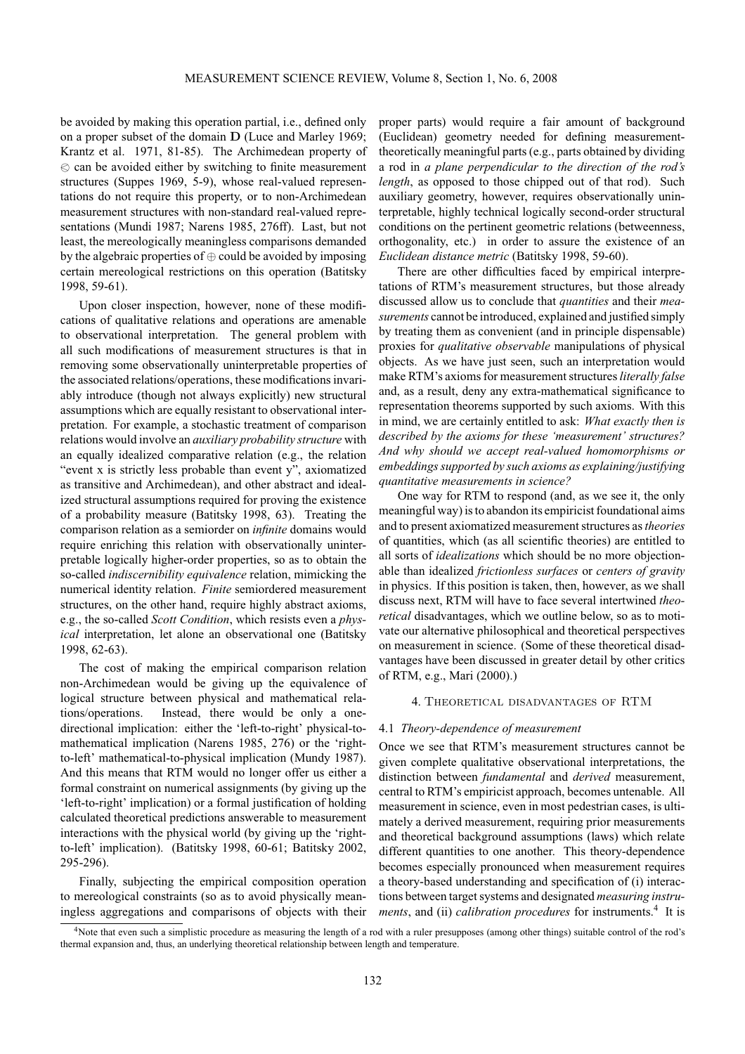be avoided by making this operation partial, i.e., defined only on a proper subset of the domain **D** (Luce and Marley 1969; Krantz et al. 1971, 81-85). The Archimedean property of  $\Diamond$  can be avoided either by switching to finite measurement structures (Suppes 1969, 5-9), whose real-valued representations do not require this property, or to non-Archimedean measurement structures with non-standard real-valued representations (Mundi 1987; Narens 1985, 276ff). Last, but not least, the mereologically meaningless comparisons demanded by the algebraic properties of  $\oplus$  could be avoided by imposing certain mereological restrictions on this operation (Batitsky 1998, 59-61).

Upon closer inspection, however, none of these modifications of qualitative relations and operations are amenable to observational interpretation. The general problem with all such modifications of measurement structures is that in removing some observationally uninterpretable properties of the associated relations/operations, these modifications invariably introduce (though not always explicitly) new structural assumptions which are equally resistant to observational interpretation. For example, a stochastic treatment of comparison relations would involve an *auxiliary probability structure* with an equally idealized comparative relation (e.g., the relation "event x is strictly less probable than event y", axiomatized as transitive and Archimedean), and other abstract and idealized structural assumptions required for proving the existence of a probability measure (Batitsky 1998, 63). Treating the comparison relation as a semiorder on *infinite* domains would require enriching this relation with observationally uninterpretable logically higher-order properties, so as to obtain the so-called *indiscernibility equivalence* relation, mimicking the numerical identity relation. *Finite* semiordered measurement structures, on the other hand, require highly abstract axioms, e.g., the so-called *Scott Condition*, which resists even a *physical* interpretation, let alone an observational one (Batitsky 1998, 62-63).

The cost of making the empirical comparison relation non-Archimedean would be giving up the equivalence of logical structure between physical and mathematical relations/operations. Instead, there would be only a onedirectional implication: either the 'left-to-right' physical-tomathematical implication (Narens 1985, 276) or the 'rightto-left' mathematical-to-physical implication (Mundy 1987). And this means that RTM would no longer offer us either a formal constraint on numerical assignments (by giving up the 'left-to-right' implication) or a formal justification of holding calculated theoretical predictions answerable to measurement interactions with the physical world (by giving up the 'rightto-left' implication). (Batitsky 1998, 60-61; Batitsky 2002, 295-296).

Finally, subjecting the empirical composition operation to mereological constraints (so as to avoid physically meaningless aggregations and comparisons of objects with their

proper parts) would require a fair amount of background (Euclidean) geometry needed for defining measurementtheoretically meaningful parts (e.g., parts obtained by dividing a rod in *a plane perpendicular to the direction of the rod's length*, as opposed to those chipped out of that rod). Such auxiliary geometry, however, requires observationally uninterpretable, highly technical logically second-order structural conditions on the pertinent geometric relations (betweenness, orthogonality, etc.) in order to assure the existence of an *Euclidean distance metric* (Batitsky 1998, 59-60).

There are other difficulties faced by empirical interpretations of RTM's measurement structures, but those already discussed allow us to conclude that *quantities* and their *measurements* cannot be introduced, explained and justified simply by treating them as convenient (and in principle dispensable) proxies for *qualitative observable* manipulations of physical objects. As we have just seen, such an interpretation would make RTM's axioms for measurement structures*literally false* and, as a result, deny any extra-mathematical significance to representation theorems supported by such axioms. With this in mind, we are certainly entitled to ask: *What exactly then is described by the axioms for these 'measurement' structures? And why should we accept real-valued homomorphisms or embeddings supported by such axioms as explaining/justifying quantitative measurements in science?*

One way for RTM to respond (and, as we see it, the only meaningful way) is to abandon its empiricist foundational aims and to present axiomatized measurement structures as*theories* of quantities, which (as all scientific theories) are entitled to all sorts of *idealizations* which should be no more objectionable than idealized *frictionless surfaces* or *centers of gravity* in physics. If this position is taken, then, however, as we shall discuss next, RTM will have to face several intertwined *theoretical* disadvantages, which we outline below, so as to motivate our alternative philosophical and theoretical perspectives on measurement in science. (Some of these theoretical disadvantages have been discussed in greater detail by other critics of RTM, e.g., Mari (2000).)

#### 4. Theoretical disadvantages of RTM

#### 4.1 *Theory-dependence of measurement*

Once we see that RTM's measurement structures cannot be given complete qualitative observational interpretations, the distinction between *fundamental* and *derived* measurement, central to RTM's empiricist approach, becomes untenable. All measurement in science, even in most pedestrian cases, is ultimately a derived measurement, requiring prior measurements and theoretical background assumptions (laws) which relate different quantities to one another. This theory-dependence becomes especially pronounced when measurement requires a theory-based understanding and specification of (i) interactions between target systems and designated *measuring instruments*, and (ii) *calibration procedures* for instruments.<sup>4</sup> It is

<sup>4</sup>Note that even such a simplistic procedure as measuring the length of a rod with a ruler presupposes (among other things) suitable control of the rod's thermal expansion and, thus, an underlying theoretical relationship between length and temperature.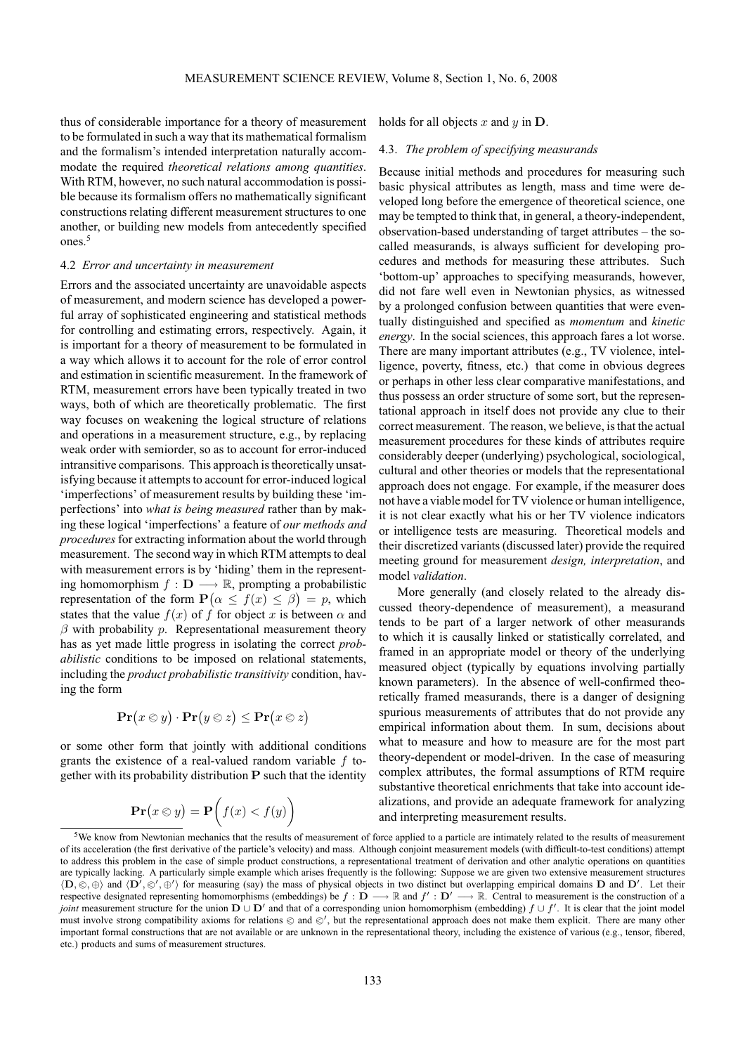thus of considerable importance for a theory of measurement to be formulated in such a way that its mathematical formalism and the formalism's intended interpretation naturally accommodate the required *theoretical relations among quantities*. With RTM, however, no such natural accommodation is possible because its formalism offers no mathematically significant constructions relating different measurement structures to one another, or building new models from antecedently specified ones.5

#### 4.2 *Error and uncertainty in measurement*

Errors and the associated uncertainty are unavoidable aspects of measurement, and modern science has developed a powerful array of sophisticated engineering and statistical methods for controlling and estimating errors, respectively. Again, it is important for a theory of measurement to be formulated in a way which allows it to account for the role of error control and estimation in scientific measurement. In the framework of RTM, measurement errors have been typically treated in two ways, both of which are theoretically problematic. The first way focuses on weakening the logical structure of relations and operations in a measurement structure, e.g., by replacing weak order with semiorder, so as to account for error-induced intransitive comparisons. This approach is theoretically unsatisfying because it attempts to account for error-induced logical 'imperfections' of measurement results by building these 'imperfections' into *what is being measured* rather than by making these logical 'imperfections' a feature of *our methods and procedures* for extracting information about the world through measurement. The second way in which RTM attempts to deal with measurement errors is by 'hiding' them in the representing homomorphism  $f : \mathbf{D} \longrightarrow \mathbb{R}$ , prompting a probabilistic representation of the form  $\mathbf{P}(\alpha \leq f(x) \leq \beta) = p$ , which states that the value  $f(x)$  of f for object x is between  $\alpha$  and  $\beta$  with probability p. Representational measurement theory has as yet made little progress in isolating the correct *probabilistic* conditions to be imposed on relational statements, including the *product probabilistic transitivity* condition, having the form

$$
\mathbf{Pr}(x \otimes y) \cdot \mathbf{Pr}(y \otimes z) \leq \mathbf{Pr}(x \otimes z)
$$

or some other form that jointly with additional conditions grants the existence of a real-valued random variable f together with its probability distribution **P** such that the identity

$$
\mathbf{Pr}(x \otimes y) = \mathbf{P}\bigg(f(x) < f(y)\bigg)
$$

holds for all objects x and y in **<sup>D</sup>**.

#### 4.3. *The problem of specifying measurands*

Because initial methods and procedures for measuring such basic physical attributes as length, mass and time were developed long before the emergence of theoretical science, one may be tempted to think that, in general, a theory-independent, observation-based understanding of target attributes – the socalled measurands, is always sufficient for developing procedures and methods for measuring these attributes. Such 'bottom-up' approaches to specifying measurands, however, did not fare well even in Newtonian physics, as witnessed by a prolonged confusion between quantities that were eventually distinguished and specified as *momentum* and *kinetic energy*. In the social sciences, this approach fares a lot worse. There are many important attributes (e.g., TV violence, intelligence, poverty, fitness, etc.) that come in obvious degrees or perhaps in other less clear comparative manifestations, and thus possess an order structure of some sort, but the representational approach in itself does not provide any clue to their correct measurement. The reason, we believe, is that the actual measurement procedures for these kinds of attributes require considerably deeper (underlying) psychological, sociological, cultural and other theories or models that the representational approach does not engage. For example, if the measurer does not have a viable model for TV violence or human intelligence, it is not clear exactly what his or her TV violence indicators or intelligence tests are measuring. Theoretical models and their discretized variants (discussed later) provide the required meeting ground for measurement *design, interpretation*, and model *validation*.

More generally (and closely related to the already discussed theory-dependence of measurement), a measurand tends to be part of a larger network of other measurands to which it is causally linked or statistically correlated, and framed in an appropriate model or theory of the underlying measured object (typically by equations involving partially known parameters). In the absence of well-confirmed theoretically framed measurands, there is a danger of designing spurious measurements of attributes that do not provide any empirical information about them. In sum, decisions about what to measure and how to measure are for the most part theory-dependent or model-driven. In the case of measuring complex attributes, the formal assumptions of RTM require substantive theoretical enrichments that take into account idealizations, and provide an adequate framework for analyzing and interpreting measurement results.

 $5$ We know from Newtonian mechanics that the results of measurement of force applied to a particle are intimately related to the results of measurement of its acceleration (the first derivative of the particle's velocity) and mass. Although conjoint measurement models (with difficult-to-test conditions) attempt to address this problem in the case of simple product constructions, a representational treatment of derivation and other analytic operations on quantities are typically lacking. A particularly simple example which arises frequently is the following: Suppose we are given two extensive measurement structures  $\langle \mathbf{D}, \hat{\mathbf{S}}, \oplus \rangle$  and  $\langle \mathbf{D}', \mathbf{S}', \oplus' \rangle$  for measuring (say) the mass of physical objects in two distinct but overlapping empirical domains **D** and **D**'. Let their respective designated representing homomorphisms (embeddings) be  $f : D \longrightarrow \mathbb{R}$  and  $f' : D' \longrightarrow \mathbb{R}$ . Central to measurement is the construction of a *joint* measurement structure for the union  $\mathbf{D} \cup \mathbf{D}'$  and that of a corresponding union homomorphism (embedding)  $f \cup f'$ . It is clear that the joint model must involve strong compatibility axioms for relations  $\odot$  and  $\odot'$ , but the representational approach does not make them explicit. There are many other important formal constructions that are not available or are unknown in the representational theory, including the existence of various (e.g., tensor, fibered, etc.) products and sums of measurement structures.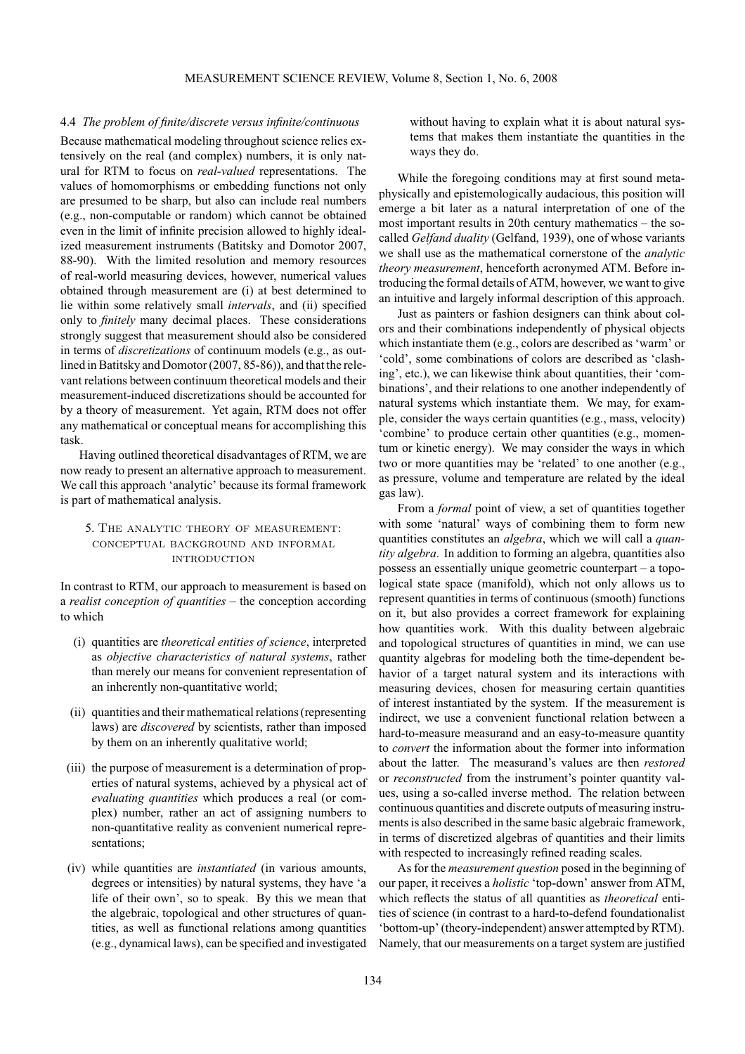## 4.4 *The problem of finite/discrete versus infinite/continuous*

Because mathematical modeling throughout science relies extensively on the real (and complex) numbers, it is only natural for RTM to focus on *real-valued* representations. The values of homomorphisms or embedding functions not only are presumed to be sharp, but also can include real numbers (e.g., non-computable or random) which cannot be obtained even in the limit of infinite precision allowed to highly idealized measurement instruments (Batitsky and Domotor 2007, 88-90). With the limited resolution and memory resources of real-world measuring devices, however, numerical values obtained through measurement are (i) at best determined to lie within some relatively small *intervals*, and (ii) specified only to *finitely* many decimal places. These considerations strongly suggest that measurement should also be considered in terms of *discretizations* of continuum models (e.g., as outlined in Batitsky and Domotor (2007, 85-86)), and that the relevant relations between continuum theoretical models and their measurement-induced discretizations should be accounted for by a theory of measurement. Yet again, RTM does not offer any mathematical or conceptual means for accomplishing this task.

Having outlined theoretical disadvantages of RTM, we are now ready to present an alternative approach to measurement. We call this approach 'analytic' because its formal framework is part of mathematical analysis.

# 5. The analytic theory of measurement: conceptual background and informal **INTRODUCTION**

In contrast to RTM, our approach to measurement is based on a *realist conception of quantities* – the conception according to which

- (i) quantities are *theoretical entities of science*, interpreted as *objective characteristics of natural systems*, rather than merely our means for convenient representation of an inherently non-quantitative world;
- (ii) quantities and their mathematical relations (representing laws) are *discovered* by scientists, rather than imposed by them on an inherently qualitative world;
- (iii) the purpose of measurement is a determination of properties of natural systems, achieved by a physical act of *evaluating quantities* which produces a real (or complex) number, rather an act of assigning numbers to non-quantitative reality as convenient numerical representations;
- (iv) while quantities are *instantiated* (in various amounts, degrees or intensities) by natural systems, they have 'a life of their own', so to speak. By this we mean that the algebraic, topological and other structures of quantities, as well as functional relations among quantities (e.g., dynamical laws), can be specified and investigated

without having to explain what it is about natural systems that makes them instantiate the quantities in the ways they do.

While the foregoing conditions may at first sound metaphysically and epistemologically audacious, this position will emerge a bit later as a natural interpretation of one of the most important results in 20th century mathematics – the socalled *Gelfand duality* (Gelfand, 1939), one of whose variants we shall use as the mathematical cornerstone of the *analytic theory measurement*, henceforth acronymed ATM. Before introducing the formal details of ATM, however, we want to give an intuitive and largely informal description of this approach.

Just as painters or fashion designers can think about colors and their combinations independently of physical objects which instantiate them (e.g., colors are described as 'warm' or 'cold', some combinations of colors are described as 'clashing', etc.), we can likewise think about quantities, their 'combinations', and their relations to one another independently of natural systems which instantiate them. We may, for example, consider the ways certain quantities (e.g., mass, velocity) 'combine' to produce certain other quantities (e.g., momentum or kinetic energy). We may consider the ways in which two or more quantities may be 'related' to one another (e.g., as pressure, volume and temperature are related by the ideal gas law).

From a *formal* point of view, a set of quantities together with some 'natural' ways of combining them to form new quantities constitutes an *algebra*, which we will call a *quantity algebra*. In addition to forming an algebra, quantities also possess an essentially unique geometric counterpart – a topological state space (manifold), which not only allows us to represent quantities in terms of continuous (smooth) functions on it, but also provides a correct framework for explaining how quantities work. With this duality between algebraic and topological structures of quantities in mind, we can use quantity algebras for modeling both the time-dependent behavior of a target natural system and its interactions with measuring devices, chosen for measuring certain quantities of interest instantiated by the system. If the measurement is indirect, we use a convenient functional relation between a hard-to-measure measurand and an easy-to-measure quantity to *convert* the information about the former into information about the latter. The measurand's values are then *restored* or *reconstructed* from the instrument's pointer quantity values, using a so-called inverse method. The relation between continuous quantities and discrete outputs of measuring instruments is also described in the same basic algebraic framework, in terms of discretized algebras of quantities and their limits with respected to increasingly refined reading scales.

As for the *measurement question* posed in the beginning of our paper, it receives a *holistic* 'top-down' answer from ATM, which reflects the status of all quantities as *theoretical* entities of science (in contrast to a hard-to-defend foundationalist 'bottom-up' (theory-independent) answer attempted by RTM). Namely, that our measurements on a target system are justified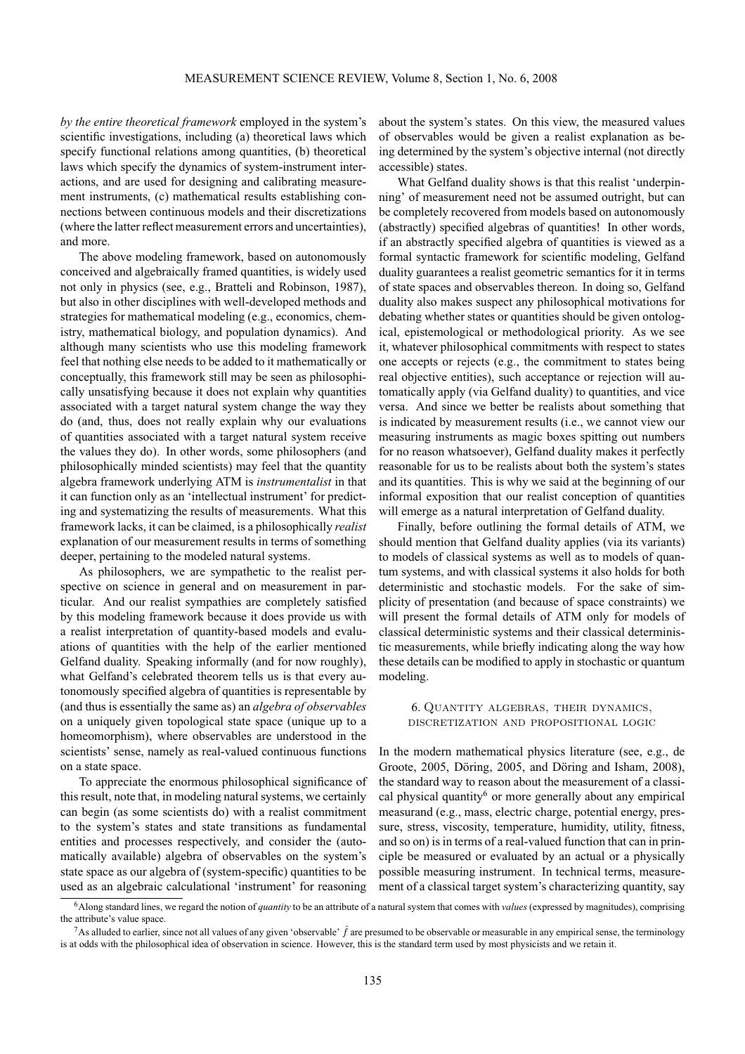*by the entire theoretical framework* employed in the system's scientific investigations, including (a) theoretical laws which specify functional relations among quantities, (b) theoretical laws which specify the dynamics of system-instrument interactions, and are used for designing and calibrating measurement instruments, (c) mathematical results establishing connections between continuous models and their discretizations (where the latter reflect measurement errors and uncertainties), and more.

The above modeling framework, based on autonomously conceived and algebraically framed quantities, is widely used not only in physics (see, e.g., Bratteli and Robinson, 1987), but also in other disciplines with well-developed methods and strategies for mathematical modeling (e.g., economics, chemistry, mathematical biology, and population dynamics). And although many scientists who use this modeling framework feel that nothing else needs to be added to it mathematically or conceptually, this framework still may be seen as philosophically unsatisfying because it does not explain why quantities associated with a target natural system change the way they do (and, thus, does not really explain why our evaluations of quantities associated with a target natural system receive the values they do). In other words, some philosophers (and philosophically minded scientists) may feel that the quantity algebra framework underlying ATM is *instrumentalist* in that it can function only as an 'intellectual instrument' for predicting and systematizing the results of measurements. What this framework lacks, it can be claimed, is a philosophically *realist* explanation of our measurement results in terms of something deeper, pertaining to the modeled natural systems.

As philosophers, we are sympathetic to the realist perspective on science in general and on measurement in particular. And our realist sympathies are completely satisfied by this modeling framework because it does provide us with a realist interpretation of quantity-based models and evaluations of quantities with the help of the earlier mentioned Gelfand duality. Speaking informally (and for now roughly), what Gelfand's celebrated theorem tells us is that every autonomously specified algebra of quantities is representable by (and thus is essentially the same as) an *algebra of observables* on a uniquely given topological state space (unique up to a homeomorphism), where observables are understood in the scientists' sense, namely as real-valued continuous functions on a state space.

To appreciate the enormous philosophical significance of this result, note that, in modeling natural systems, we certainly can begin (as some scientists do) with a realist commitment to the system's states and state transitions as fundamental entities and processes respectively, and consider the (automatically available) algebra of observables on the system's state space as our algebra of (system-specific) quantities to be used as an algebraic calculational 'instrument' for reasoning

about the system's states. On this view, the measured values of observables would be given a realist explanation as being determined by the system's objective internal (not directly accessible) states.

What Gelfand duality shows is that this realist 'underpinning' of measurement need not be assumed outright, but can be completely recovered from models based on autonomously (abstractly) specified algebras of quantities! In other words, if an abstractly specified algebra of quantities is viewed as a formal syntactic framework for scientific modeling, Gelfand duality guarantees a realist geometric semantics for it in terms of state spaces and observables thereon. In doing so, Gelfand duality also makes suspect any philosophical motivations for debating whether states or quantities should be given ontological, epistemological or methodological priority. As we see it, whatever philosophical commitments with respect to states one accepts or rejects (e.g., the commitment to states being real objective entities), such acceptance or rejection will automatically apply (via Gelfand duality) to quantities, and vice versa. And since we better be realists about something that is indicated by measurement results (i.e., we cannot view our measuring instruments as magic boxes spitting out numbers for no reason whatsoever), Gelfand duality makes it perfectly reasonable for us to be realists about both the system's states and its quantities. This is why we said at the beginning of our informal exposition that our realist conception of quantities will emerge as a natural interpretation of Gelfand duality.

Finally, before outlining the formal details of ATM, we should mention that Gelfand duality applies (via its variants) to models of classical systems as well as to models of quantum systems, and with classical systems it also holds for both deterministic and stochastic models. For the sake of simplicity of presentation (and because of space constraints) we will present the formal details of ATM only for models of classical deterministic systems and their classical deterministic measurements, while briefly indicating along the way how these details can be modified to apply in stochastic or quantum modeling.

> 6. Quantity algebras, their dynamics, discretization and propositional logic

In the modern mathematical physics literature (see, e.g., de Groote, 2005, Döring, 2005, and Döring and Isham, 2008), the standard way to reason about the measurement of a classical physical quantity $<sup>6</sup>$  or more generally about any empirical</sup> measurand (e.g., mass, electric charge, potential energy, pressure, stress, viscosity, temperature, humidity, utility, fitness, and so on) is in terms of a real-valued function that can in principle be measured or evaluated by an actual or a physically possible measuring instrument. In technical terms, measurement of a classical target system's characterizing quantity, say

<sup>6</sup>Along standard lines, we regard the notion of *quantity* to be an attribute of a natural system that comes with *values* (expressed by magnitudes), comprising the attribute's value space.

<sup>&</sup>lt;sup>7</sup>As alluded to earlier, since not all values of any given 'observable'  $\hat{f}$  are presumed to be observable or measurable in any empirical sense, the terminology to detain it is at odds with the philosophical idea of observation in science. However, this is the standard term used by most physicists and we retain it.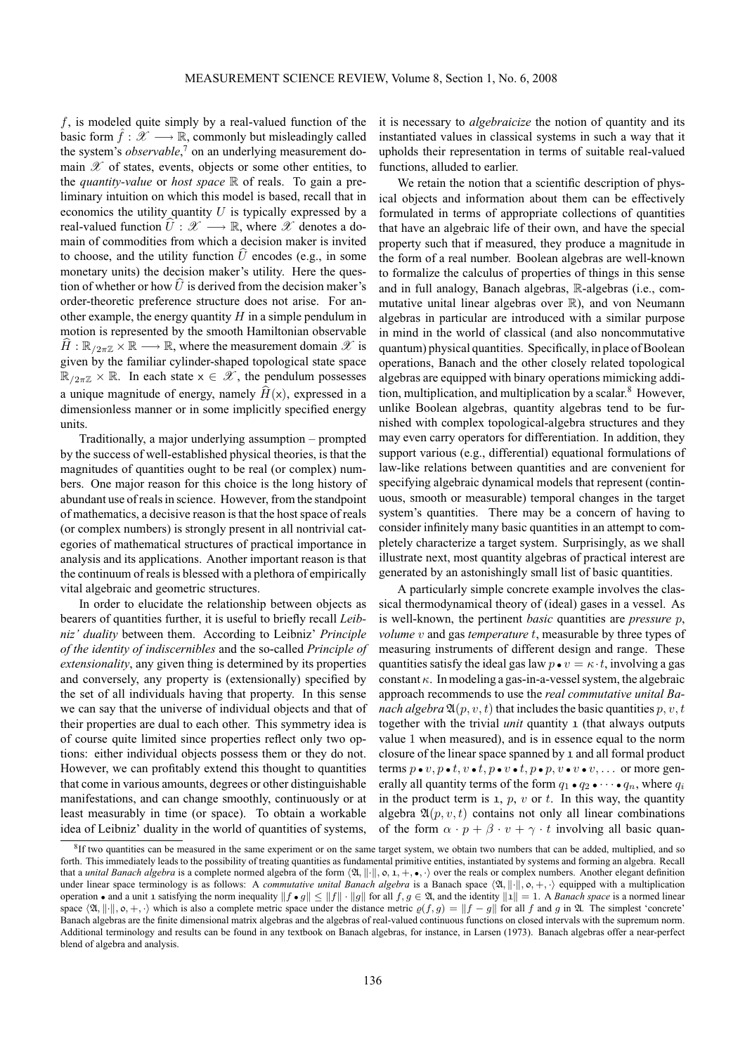$f$ , is modeled quite simply by a real-valued function of the basic form  $\hat{f} : \mathcal{X} \longrightarrow \mathbb{R}$ , commonly but misleadingly called the system's *observable*, <sup>7</sup> on an underlying measurement domain  $\mathscr X$  of states, events, objects or some other entities, to the *quantity-value* or *host space* R of reals. To gain a preliminary intuition on which this model is based, recall that in economics the utility quantity  $U$  is typically expressed by a real-valued function  $\hat{U}: \mathscr{X} \longrightarrow \mathbb{R}$ , where  $\mathscr{X}$  denotes a domain of commodities from which a decision maker is invited to choose, and the utility function  $\hat{U}$  encodes (e.g., in some monetary units) the decision maker's utility. Here the question of whether or how  $\hat{U}$  is derived from the decision maker's order-theoretic preference structure does not arise. For another example, the energy quantity  $H$  in a simple pendulum in motion is represented by the smooth Hamiltonian observable  $H: \mathbb{R}_{2\pi\mathbb{Z}} \times \mathbb{R} \longrightarrow \mathbb{R}$ , where the measurement domain  $\mathscr{X}$  is given by the familiar cylinder-shaped topological state space  $\mathbb{R}_{2\pi\mathbb{Z}} \times \mathbb{R}$ . In each state  $x \in \mathcal{X}$ , the pendulum possesses a unique magnitude of energy, namely  $\hat{H}(x)$ , expressed in a dimensionless manner or in some implicitly specified energy units.

Traditionally, a major underlying assumption – prompted by the success of well-established physical theories, is that the magnitudes of quantities ought to be real (or complex) numbers. One major reason for this choice is the long history of abundant use of reals in science. However, from the standpoint of mathematics, a decisive reason is that the host space of reals (or complex numbers) is strongly present in all nontrivial categories of mathematical structures of practical importance in analysis and its applications. Another important reason is that the continuum of reals is blessed with a plethora of empirically vital algebraic and geometric structures.

In order to elucidate the relationship between objects as bearers of quantities further, it is useful to briefly recall *Leibniz' duality* between them. According to Leibniz' *Principle of the identity of indiscernibles* and the so-called *Principle of extensionality*, any given thing is determined by its properties and conversely, any property is (extensionally) specified by the set of all individuals having that property. In this sense we can say that the universe of individual objects and that of their properties are dual to each other. This symmetry idea is of course quite limited since properties reflect only two options: either individual objects possess them or they do not. However, we can profitably extend this thought to quantities that come in various amounts, degrees or other distinguishable manifestations, and can change smoothly, continuously or at least measurably in time (or space). To obtain a workable idea of Leibniz' duality in the world of quantities of systems, it is necessary to *algebraicize* the notion of quantity and its instantiated values in classical systems in such a way that it upholds their representation in terms of suitable real-valued functions, alluded to earlier.

We retain the notion that a scientific description of physical objects and information about them can be effectively formulated in terms of appropriate collections of quantities that have an algebraic life of their own, and have the special property such that if measured, they produce a magnitude in the form of a real number. Boolean algebras are well-known to formalize the calculus of properties of things in this sense and in full analogy, Banach algebras, R-algebras (i.e., commutative unital linear algebras over  $\mathbb{R}$ ), and von Neumann algebras in particular are introduced with a similar purpose in mind in the world of classical (and also noncommutative quantum) physical quantities. Specifically, in place of Boolean operations, Banach and the other closely related topological algebras are equipped with binary operations mimicking addition, multiplication, and multiplication by a scalar. $8$  However, unlike Boolean algebras, quantity algebras tend to be furnished with complex topological-algebra structures and they may even carry operators for differentiation. In addition, they support various (e.g., differential) equational formulations of law-like relations between quantities and are convenient for specifying algebraic dynamical models that represent (continuous, smooth or measurable) temporal changes in the target system's quantities. There may be a concern of having to consider infinitely many basic quantities in an attempt to completely characterize a target system. Surprisingly, as we shall illustrate next, most quantity algebras of practical interest are generated by an astonishingly small list of basic quantities.

A particularly simple concrete example involves the classical thermodynamical theory of (ideal) gases in a vessel. As is well-known, the pertinent *basic* quantities are *pressure* p, *volume* v and gas *temperature* t, measurable by three types of measuring instruments of different design and range. These quantities satisfy the ideal gas law  $p \cdot v = \kappa \cdot t$ , involving a gas constant  $\kappa$ . In modeling a gas-in-a-vessel system, the algebraic approach recommends to use the *real commutative unital Banach algebra*  $\mathfrak{A}(p, v, t)$  that includes the basic quantities p, v, t together with the trivial *unit* quantity 1 (that always outputs value 1 when measured), and is in essence equal to the norm closure of the linear space spanned by 1 and all formal product terms  $p \cdot v$ ,  $p \cdot t$ ,  $v \cdot t$ ,  $p \cdot v \cdot t$ ,  $p \cdot p$ ,  $v \cdot v \cdot v$ , ... or more generally all quantity terms of the form  $q_1 \bullet q_2 \bullet \cdots \bullet q_n$ , where  $q_i$ in the product term is  $\alpha$ ,  $p$ ,  $v$  or  $t$ . In this way, the quantity algebra  $\mathfrak{A}(p, v, t)$  contains not only all linear combinations of the form  $\alpha \cdot p + \beta \cdot v + \gamma \cdot t$  involving all basic quan-

<sup>&</sup>lt;sup>8</sup>If two quantities can be measured in the same experiment or on the same target system, we obtain two numbers that can be added, multiplied, and so forth. This immediately leads to the possibility of treating quantities as fundamental primitive entities, instantiated by systems and forming an algebra. Recall that a *unital Banach algebra* is a complete normed algebra of the form  $\langle \mathfrak{A}, \|\cdot\|$ ,  $\lozenge, 1, +, \bullet, \cdot \rangle$  over the reals or complex numbers. Another elegant definition under linear space terminology is as follows: A *commutative unital Banach algebra* is a Banach space  $\{X, \|\cdot\|, \diamond, +, \cdot\}$  equipped with a multiplication operation • and a unit 1 satisfying the norm inequality  $||f \bullet g|| \le ||f|| \cdot ||g||$  for all f,  $g \in \mathfrak{A}$ , and the identity  $||1|| = 1$ . A *Banach space* is a normed linear space  $\langle \mathfrak{A}, || \cdot ||$ ,  $\circ, +, \cdot \rangle$  which is also a complete metric space under the distance metric  $\rho(f, g) = ||f - g||$  for all f and g in  $\mathfrak{A}$ . The simplest 'concrete' Banach algebras are the finite dimensional matrix algebras and the algebras of real-valued continuous functions on closed intervals with the supremum norm. Additional terminology and results can be found in any textbook on Banach algebras, for instance, in Larsen (1973). Banach algebras offer a near-perfect blend of algebra and analysis.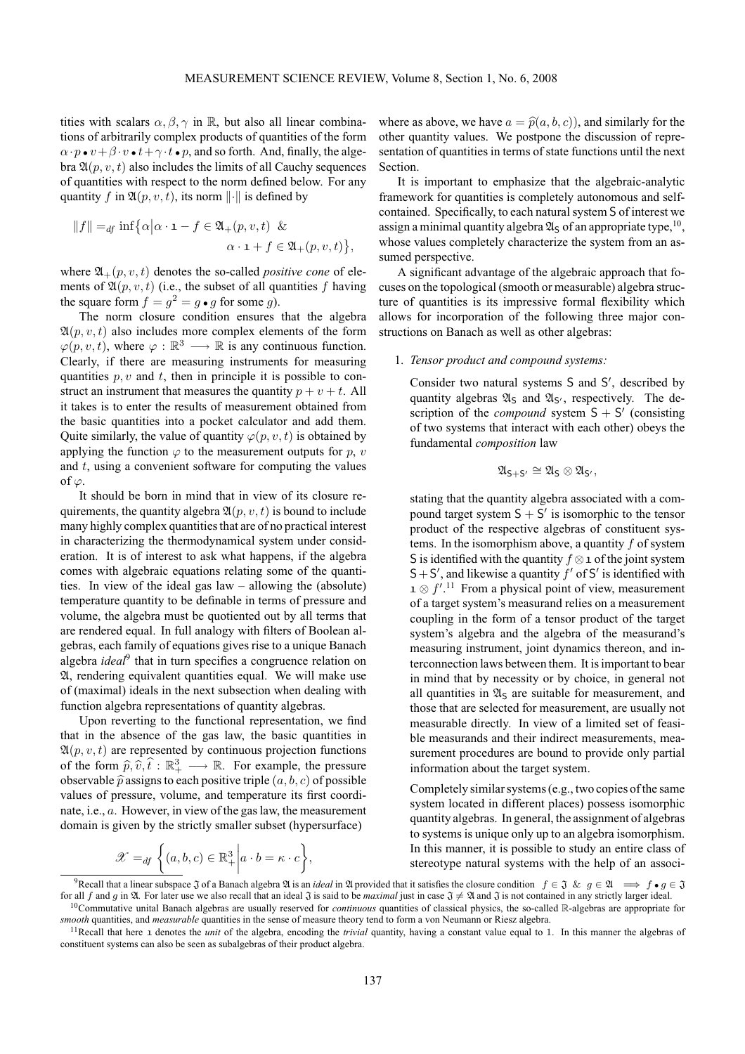tities with scalars  $\alpha$ ,  $\beta$ ,  $\gamma$  in R, but also all linear combinations of arbitrarily complex products of quantities of the form  $\alpha \cdot p \cdot v + \beta \cdot v \cdot t + \gamma \cdot t \cdot p$ , and so forth. And, finally, the algebra  $\mathfrak{A}(p, v, t)$  also includes the limits of all Cauchy sequences of quantities with respect to the norm defined below. For any quantity f in  $\mathfrak{A}(p, v, t)$ , its norm  $\|\cdot\|$  is defined by

$$
||f|| =_{df} \inf \{ \alpha | \alpha \cdot \mathbf{1} - f \in \mathfrak{A}_+(p, v, t) \&
$$
  

$$
\alpha \cdot \mathbf{1} + f \in \mathfrak{A}_+(p, v, t) \},
$$

where  $\mathfrak{A}_{+}(p, v, t)$  denotes the so-called *positive cone* of elements of  $\mathfrak{A}(p, v, t)$  (i.e., the subset of all quantities f having the square form  $f = g^2 = g \bullet g$  for some g).

The norm closure condition ensures that the algebra  $\mathfrak{A}(p, v, t)$  also includes more complex elements of the form  $\varphi(p, v, t)$ , where  $\varphi : \mathbb{R}^3 \longrightarrow \mathbb{R}$  is any continuous function. Clearly, if there are measuring instruments for measuring quantities  $p, v$  and  $t$ , then in principle it is possible to construct an instrument that measures the quantity  $p + v + t$ . All it takes is to enter the results of measurement obtained from the basic quantities into a pocket calculator and add them. Quite similarly, the value of quantity  $\varphi(p, v, t)$  is obtained by applying the function  $\varphi$  to the measurement outputs for p, v and  $t$ , using a convenient software for computing the values of  $\varphi$ .

It should be born in mind that in view of its closure requirements, the quantity algebra  $\mathfrak{A}(p, v, t)$  is bound to include many highly complex quantities that are of no practical interest in characterizing the thermodynamical system under consideration. It is of interest to ask what happens, if the algebra comes with algebraic equations relating some of the quantities. In view of the ideal gas law – allowing the (absolute) temperature quantity to be definable in terms of pressure and volume, the algebra must be quotiented out by all terms that are rendered equal. In full analogy with filters of Boolean algebras, each family of equations gives rise to a unique Banach algebra *ideal*<sup>9</sup> that in turn specifies a congruence relation on A, rendering equivalent quantities equal. We will make use of (maximal) ideals in the next subsection when dealing with function algebra representations of quantity algebras.

Upon reverting to the functional representation, we find that in the absence of the gas law, the basic quantities in  $\mathfrak{A}(p, v, t)$  are represented by continuous projection functions of the form  $\hat{p}, \hat{v}, \hat{t} : \mathbb{R}^3_+ \longrightarrow \mathbb{R}$ . For example, the pressure observable  $\hat{v}$  assigns to each positive triple  $(a, b, c)$  of possible observable  $\hat{p}$  assigns to each positive triple  $(a, b, c)$  of possible values of pressure, volume, and temperature its first coordinate, i.e., a. However, in view of the gas law, the measurement domain is given by the strictly smaller subset (hypersurface)

$$
\mathscr{X} =_{df} \left\{ (a, b, c) \in \mathbb{R}^3_+ \middle| a \cdot b = \kappa \cdot c \right\},\
$$

where as above, we have  $a = \hat{p}(a, b, c)$ , and similarly for the other quantity values. We postpone the discussion of representation of quantities in terms of state functions until the next Section.

It is important to emphasize that the algebraic-analytic framework for quantities is completely autonomous and selfcontained. Specifically, to each natural system S of interest we assign a minimal quantity algebra  $\mathfrak{A}_S$  of an appropriate type,  $^{10}$ , whose values completely characterize the system from an assumed perspective.

A significant advantage of the algebraic approach that focuses on the topological (smooth or measurable) algebra structure of quantities is its impressive formal flexibility which allows for incorporation of the following three major constructions on Banach as well as other algebras:

## 1. *Tensor product and compound systems:*

Consider two natural systems S and S , described by quantity algebras  $\mathfrak{A}_S$  and  $\mathfrak{A}_{S'}$ , respectively. The description of the *compound* system  $S + S'$  (consisting of two systems that interact with each other) obeys the fundamental *composition* law

$$
\mathfrak{A}_{S+S'}\cong \mathfrak{A}_S\otimes \mathfrak{A}_{S'},
$$

stating that the quantity algebra associated with a compound target system  $S + S'$  is isomorphic to the tensor product of the respective algebras of constituent systems. In the isomorphism above, a quantity f of system S is identified with the quantity  $f \otimes 1$  of the joint system  $S + S'$ , and likewise a quantity  $f'$  of S' is identified with  $S \otimes f'$  is identified with  $1 \otimes f'$ .<sup>11</sup> From a physical point of view, measurement of a target system's measurand relies on a measurement coupling in the form of a tensor product of the target system's algebra and the algebra of the measurand's measuring instrument, joint dynamics thereon, and interconnection laws between them. It is important to bear in mind that by necessity or by choice, in general not all quantities in  $\mathfrak{A}_S$  are suitable for measurement, and those that are selected for measurement, are usually not measurable directly. In view of a limited set of feasible measurands and their indirect measurements, measurement procedures are bound to provide only partial information about the target system.

Completely similar systems (e.g., two copies of the same system located in different places) possess isomorphic quantity algebras. In general, the assignment of algebras to systems is unique only up to an algebra isomorphism. In this manner, it is possible to study an entire class of stereotype natural systems with the help of an associ-

<sup>&</sup>lt;sup>9</sup>Recall that a linear subspace  $\mathfrak J$  of a Banach algebra  $\mathfrak A$  is an *ideal* in  $\mathfrak A$  provided that it satisfies the closure condition  $f \in \mathfrak J \& g \in \mathfrak A \Rightarrow f \bullet g \in \mathfrak J$ for all f and g in  $\mathfrak{A}$ . For later use we also recall that an ideal  $\mathfrak{J}$  is said to be *maximal* just in case  $\mathfrak{J} \neq \mathfrak{A}$  and  $\mathfrak{J}$  is not contained in any strictly larger ideal.<br><sup>10</sup>Commutative unit 10Commutative unital Banach algebras are usually reserved for *continuous* quantities of classical physics, the so-called R-algebras are appropriate for *smooth* quantities, and *measurable* quantities in the sense of measure theory tend to form a von Neumann or Riesz algebra.

<sup>11</sup>Recall that here 1 denotes the *unit* of the algebra, encoding the *trivial* quantity, having a constant value equal to 1. In this manner the algebras of constituent systems can also be seen as subalgebras of their product algebra.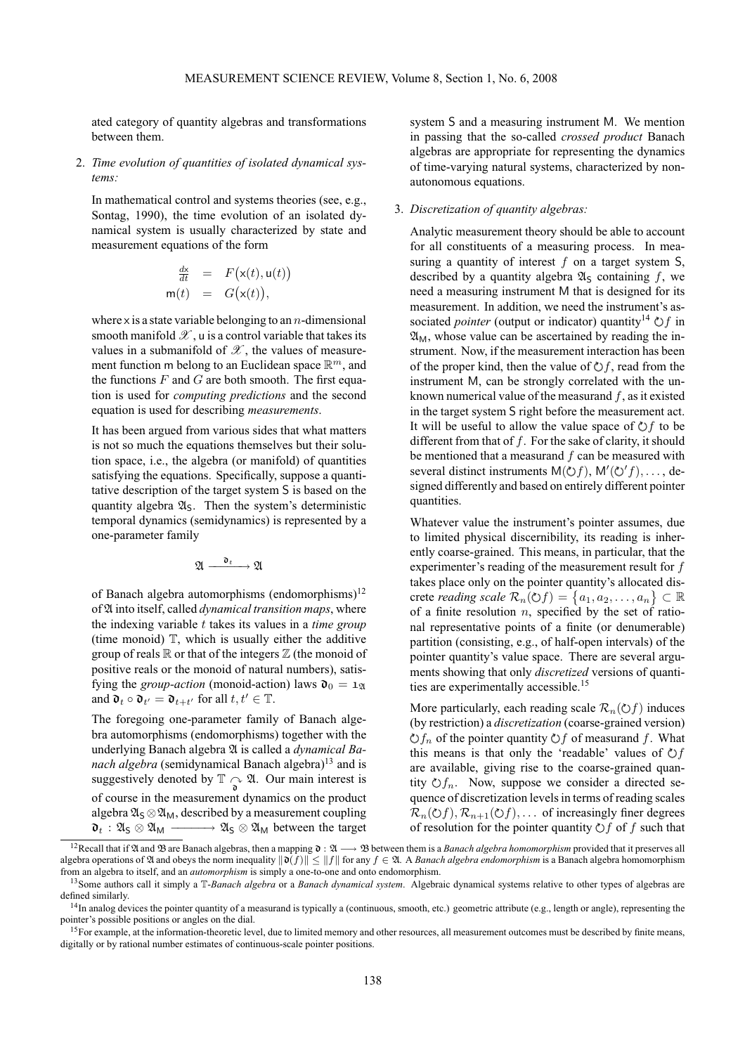ated category of quantity algebras and transformations between them.

2. *Time evolution of quantities of isolated dynamical systems:*

In mathematical control and systems theories (see, e.g., Sontag, 1990), the time evolution of an isolated dynamical system is usually characterized by state and measurement equations of the form

$$
\frac{dx}{dt} = F(\mathsf{x}(t), \mathsf{u}(t))
$$
  
\n
$$
\mathsf{m}(t) = G(\mathsf{x}(t)),
$$

where  $x$  is a state variable belonging to an  $n$ -dimensional smooth manifold  $\mathscr X$ , u is a control variable that takes its values in a submanifold of  $\mathscr X$ , the values of measurement function m belong to an Euclidean space  $\mathbb{R}^m$ , and the functions  $F$  and  $G$  are both smooth. The first equation is used for *computing predictions* and the second equation is used for describing *measurements*.

It has been argued from various sides that what matters is not so much the equations themselves but their solution space, i.e., the algebra (or manifold) of quantities satisfying the equations. Specifically, suppose a quantitative description of the target system S is based on the quantity algebra  $\mathfrak{A}_s$ . Then the system's deterministic temporal dynamics (semidynamics) is represented by a one-parameter family

$$
\mathfrak{A} \xrightarrow{\mathfrak{d}_t} \mathfrak{A}
$$

of Banach algebra automorphisms (endomorphisms)<sup>12</sup> of A into itself, called *dynamical transition maps*, where the indexing variable t takes its values in a *time group* (time monoid)  $T$ , which is usually either the additive group of reals  $\mathbb R$  or that of the integers  $\mathbb Z$  (the monoid of positive reals or the monoid of natural numbers), satisfying the *group-action* (monoid-action) laws  $\mathfrak{d}_0 = \mathfrak{1}_{\mathfrak{A}}$ and  $\mathfrak{d}_t \circ \mathfrak{d}_{t'} = \mathfrak{d}_{t+t'}$  for all  $t, t' \in \mathbb{T}$ .

The foregoing one-parameter family of Banach algebra automorphisms (endomorphisms) together with the underlying Banach algebra  $\mathfrak A$  is called a *dynamical Banach algebra* (semidynamical Banach algebra)<sup>13</sup> and is suggestively denoted by  $\mathbb{T} \underset{\Omega}{\curvearrowright} \mathfrak{A}$ . Our main interest is of course in the measurement dynamics on the product algebra  $\mathfrak{A}_{S}\otimes \mathfrak{A}_{M}$ , described by a measurement coupling  $\mathfrak{d}_t$  :  $\mathfrak{A}_S \otimes \mathfrak{A}_M$   $\longrightarrow$   $\mathfrak{A}_S \otimes \mathfrak{A}_M$  between the target system S and a measuring instrument M. We mention in passing that the so-called *crossed product* Banach algebras are appropriate for representing the dynamics of time-varying natural systems, characterized by nonautonomous equations.

#### 3. *Discretization of quantity algebras:*

Analytic measurement theory should be able to account for all constituents of a measuring process. In measuring a quantity of interest  $f$  on a target system  $S$ , described by a quantity algebra  $\mathfrak{A}_S$  containing f, we need a measuring instrument M that is designed for its measurement. In addition, we need the instrument's associated *pointer* (output or indicator) quantity<sup>14</sup>  $\circlearrowright$  f in  $\mathfrak{A}_{M}$ , whose value can be ascertained by reading the instrument. Now, if the measurement interaction has been of the proper kind, then the value of  $\circlearrowright f$ , read from the instrument M, can be strongly correlated with the unknown numerical value of the measurand  $f$ , as it existed in the target system S right before the measurement act. It will be useful to allow the value space of  $\circlearrowright f$  to be different from that of  $f$ . For the sake of clarity, it should be mentioned that a measurand  $f$  can be measured with several distinct instruments  $M(\mathcal{O}f), M'(\mathcal{O}'f), \ldots$ , designed differently and based on entirely different pointer signed differently and based on entirely different pointer quantities.

Whatever value the instrument's pointer assumes, due to limited physical discernibility, its reading is inherently coarse-grained. This means, in particular, that the experimenter's reading of the measurement result for  $f$ takes place only on the pointer quantity's allocated discrete *reading scale*  $\mathcal{R}_n(Of) = \{a_1, a_2, ..., a_n\} \subset \mathbb{R}$ <br>of a finite resolution *n* specified by the set of ratioof a finite resolution  $n$ , specified by the set of rational representative points of a finite (or denumerable) partition (consisting, e.g., of half-open intervals) of the pointer quantity's value space. There are several arguments showing that only *discretized* versions of quantities are experimentally accessible.<sup>15</sup>

More particularly, each reading scale  $\mathcal{R}_n(\mathcal{O}f)$  induces (by restriction) a *discretization* (coarse-grained version)  $\circlearrowright f_n$  of the pointer quantity  $\circlearrowright f$  of measurand f. What this means is that only the 'readable' values of  $\circlearrowright f$ are available, giving rise to the coarse-grained quantity  $\mathcal{O}f_n$ . Now, suppose we consider a directed sequence of discretization levels in terms of reading scales  $\mathcal{R}_n(\mathcal{O}_f), \mathcal{R}_{n+1}(\mathcal{O}_f),\ldots$  of increasingly finer degrees of resolution for the pointer quantity  $\circlearrowright$  f of f such that

<sup>&</sup>lt;sup>12</sup>Recall that if  $\mathfrak A$  and  $\mathfrak B$  are Banach algebras, then a mapping  $\mathfrak d$  :  $\mathfrak A \longrightarrow \mathfrak B$  between them is a *Banach algebra homomorphism* provided that it preserves all algebra operations of  $\mathfrak A$  and obeys the norm inequality  $\|\mathfrak d(f)\| \leq \|f\|$  for any  $f \in \mathfrak A$ . A *Banach algebra endomorphism* is a Banach algebra homomorphism from an algebra to itself, and an *automorphism* is simply a one-to-one and onto endomorphism.

<sup>&</sup>lt;sup>13</sup>Some authors call it simply a T-*Banach algebra* or a *Banach dynamical system*. Algebraic dynamical systems relative to other types of algebras are defined similarly.

<sup>&</sup>lt;sup>14</sup>In analog devices the pointer quantity of a measurand is typically a (continuous, smooth, etc.) geometric attribute (e.g., length or angle), representing the pointer's possible positions or angles on the dial.

<sup>&</sup>lt;sup>15</sup>For example, at the information-theoretic level, due to limited memory and other resources, all measurement outcomes must be described by finite means, digitally or by rational number estimates of continuous-scale pointer positions.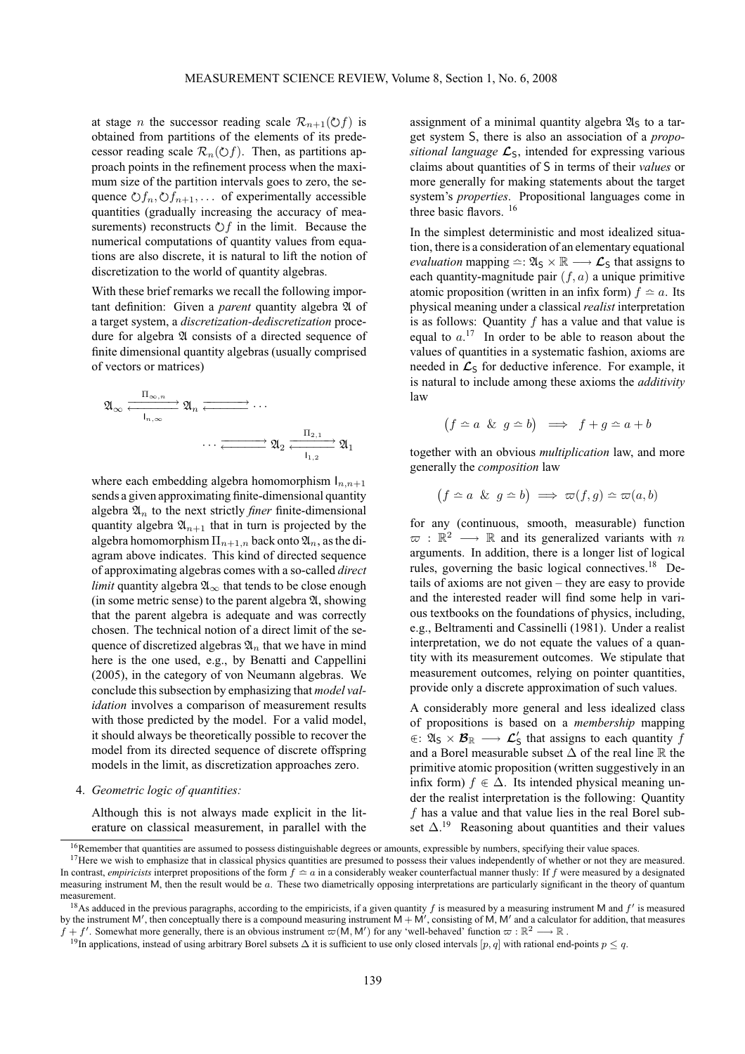at stage *n* the successor reading scale  $\mathcal{R}_{n+1}(\text{Of})$  is obtained from partitions of the elements of its predecessor reading scale  $\mathcal{R}_n(\bigcirc f)$ . Then, as partitions approach points in the refinement process when the maximum size of the partition intervals goes to zero, the sequence  $\circlearrowright f_n, \circlearrowright f_{n+1}, \ldots$  of experimentally accessible quantities (gradually increasing the accuracy of measurements) reconstructs  $\circlearrowright f$  in the limit. Because the numerical computations of quantity values from equations are also discrete, it is natural to lift the notion of discretization to the world of quantity algebras.

With these brief remarks we recall the following important definition: Given a *parent* quantity algebra 2l of a target system, a *discretization-dediscretization* procedure for algebra  $\mathfrak A$  consists of a directed sequence of finite dimensional quantity algebras (usually comprised of vectors or matrices)

$$
\mathfrak{A}_{\infty} \xrightarrow{\Pi_{\infty,n}} \mathfrak{A}_{n} \xrightarrow{\Pi_{1,\infty}} \cdots
$$

$$
\cdots \xrightarrow{\Pi_{2,1}} \mathfrak{A}_{2} \xrightarrow{\Pi_{2,1}} \mathfrak{A}_{1}
$$

where each embedding algebra homomorphism  $I_{n,n+1}$ sends a given approximating finite-dimensional quantity algebra  $\mathfrak{A}_n$  to the next strictly *finer* finite-dimensional quantity algebra  $\mathfrak{A}_{n+1}$  that in turn is projected by the algebra homomorphism  $\Pi_{n+1,n}$  back onto  $\mathfrak{A}_n$ , as the diagram above indicates. This kind of directed sequence of approximating algebras comes with a so-called *direct limit* quantity algebra  $\mathfrak{A}_{\infty}$  that tends to be close enough (in some metric sense) to the parent algebra  $\mathfrak{A}$ , showing that the parent algebra is adequate and was correctly chosen. The technical notion of a direct limit of the sequence of discretized algebras  $\mathfrak{A}_n$  that we have in mind here is the one used, e.g., by Benatti and Cappellini (2005), in the category of von Neumann algebras. We conclude this subsection by emphasizing that *model validation* involves a comparison of measurement results with those predicted by the model. For a valid model, it should always be theoretically possible to recover the model from its directed sequence of discrete offspring models in the limit, as discretization approaches zero.

#### 4. *Geometric logic of quantities:*

Although this is not always made explicit in the literature on classical measurement, in parallel with the assignment of a minimal quantity algebra  $\mathfrak{A}_S$  to a target system S, there is also an association of a *propositional language*  $\mathcal{L}_S$ , intended for expressing various claims about quantities of S in terms of their *values* or more generally for making statements about the target system's *properties*. Propositional languages come in three basic flavors.<sup>16</sup>

In the simplest deterministic and most idealized situation, there is a consideration of an elementary equational  $\alpha$ *evaluation* mapping  $\cong : \mathfrak{A}_S \times \mathbb{R} \longrightarrow \mathcal{L}_S$  that assigns to each quantity-magnitude pair  $(f, a)$  a unique primitive atomic proposition (written in an infix form)  $f \approx a$ . Its<br>physical meaning under a classical reglist interpretation physical meaning under a classical *realist* interpretation is as follows: Quantity  $f$  has a value and that value is equal to  $a^{17}$ . In order to be able to reason about the values of quantities in a systematic fashion, axioms are values of quantities in a systematic fashion, axioms are needed in  $\mathcal{L}_S$  for deductive inference. For example, it is natural to include among these axioms the *additivity* law

$$
(f \simeq a \And g \simeq b) \implies f + g \simeq a + b
$$

together with an obvious *multiplication* law, and more generally the *composition* law

$$
(f \simeq a \And g \simeq b) \implies \varpi(f,g) \simeq \varpi(a,b)
$$

for any (continuous, smooth, measurable) function  $\varpi : \mathbb{R}^2 \longrightarrow \mathbb{R}$  and its generalized variants with n arguments. In addition, there is a longer list of logical rules, governing the basic logical connectives.<sup>18</sup> Details of axioms are not given – they are easy to provide and the interested reader will find some help in various textbooks on the foundations of physics, including, e.g., Beltramenti and Cassinelli (1981). Under a realist interpretation, we do not equate the values of a quantity with its measurement outcomes. We stipulate that measurement outcomes, relying on pointer quantities, provide only a discrete approximation of such values.

A considerably more general and less idealized class of propositions is based on a *membership* mapping  $\mathcal{L}_S : \mathfrak{A}_S \times \mathcal{B}_R \longrightarrow \mathcal{L}'_S$  that assigns to each quantity f and a Borel measurable subset  $\Delta$  of the real line R the primitive atomic proposition (written suggestively in an infix form)  $f \in \Delta$ . Its intended physical meaning under the realist interpretation is the following: Quantity der the realist interpretation is the following: Quantity  $f$  has a value and that value lies in the real Borel subset  $\Delta$ .<sup>19</sup> Reasoning about quantities and their values

<sup>&</sup>lt;sup>16</sup>Remember that quantities are assumed to possess distinguishable degrees or amounts, expressible by numbers, specifying their value spaces.

<sup>&</sup>lt;sup>17</sup> Here we wish to emphasize that in classical physics quantities are presumed to possess their values independently of whether or not they are measured. In contrast, *empiricists* interpret propositions of the form  $f \approx a$  in a considerably weaker counterfactual manner thusly: If f were measured by a designated measuring instrument <sup>M</sup>, then the result would be a. These two diametrically opposing interpretations are particularly significant in the theory of quantum measurement.

<sup>&</sup>lt;sup>18</sup>As adduced in the previous paragraphs, according to the empiricists, if a given quantity f is measured by a measuring instrument M and  $f'$  is measured by the instrument M', then conceptually there is a compound measuring instrument  $M + M'$ , consisting of M, M' and a calculator for addition, that measures  $f + f'$ . Somewhat more generally, there is an obvious instrument  $\varpi(M, M')$  for any 'well-behaved' function  $\varpi : \mathbb{R}^2 \longrightarrow \mathbb{R}$ .

<sup>&</sup>lt;sup>19</sup>In applications, instead of using arbitrary Borel subsets  $\Delta$  it is sufficient to use only closed intervals  $[p, q]$  with rational end-points  $p \leq q$ .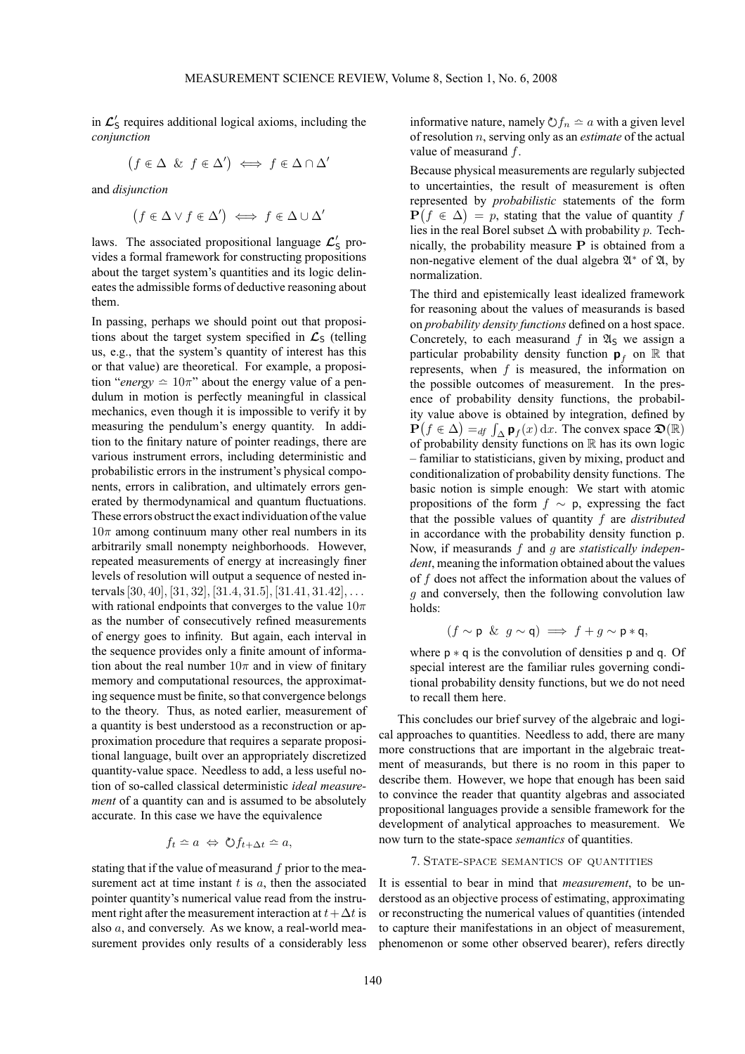in  $\mathcal{L}'_S$  requires additional logical axioms, including the *conjunction*

$$
(f \in \Delta \& f \in \Delta') \iff f \in \Delta \cap \Delta'
$$

and *disjunction*

$$
(f \in \Delta \lor f \in \Delta') \iff f \in \Delta \cup \Delta'
$$

laws. The associated propositional language  $\mathcal{L}'_S$  provides a formal framework for constructing propositions about the target system's quantities and its logic delineates the admissible forms of deductive reasoning about them.

In passing, perhaps we should point out that propositions about the target system specified in  $\mathcal{L}_S$  (telling us, e.g., that the system's quantity of interest has this or that value) are theoretical. For example, a proposition "*energy*  $\approx 10\pi$ " about the energy value of a pen-<br>dulum in motion is perfectly meaningful in classical dulum in motion is perfectly meaningful in classical mechanics, even though it is impossible to verify it by measuring the pendulum's energy quantity. In addition to the finitary nature of pointer readings, there are various instrument errors, including deterministic and probabilistic errors in the instrument's physical components, errors in calibration, and ultimately errors generated by thermodynamical and quantum fluctuations. These errors obstruct the exact individuation of the value  $10\pi$  among continuum many other real numbers in its arbitrarily small nonempty neighborhoods. However, repeated measurements of energy at increasingly finer levels of resolution will output a sequence of nested intervals [30, 40], [31, 32], [31.4, 31.5], [31.41, 31.42],... with rational endpoints that converges to the value  $10\pi$ as the number of consecutively refined measurements of energy goes to infinity. But again, each interval in the sequence provides only a finite amount of information about the real number  $10\pi$  and in view of finitary memory and computational resources, the approximating sequence must be finite, so that convergence belongs to the theory. Thus, as noted earlier, measurement of a quantity is best understood as a reconstruction or approximation procedure that requires a separate propositional language, built over an appropriately discretized quantity-value space. Needless to add, a less useful notion of so-called classical deterministic *ideal measurement* of a quantity can and is assumed to be absolutely accurate. In this case we have the equivalence

$$
f_t \simeq a \Leftrightarrow \mathcal{O}f_{t+\Delta t} \simeq a,
$$

stating that if the value of measurand  $f$  prior to the measurement act at time instant  $t$  is  $a$ , then the associated pointer quantity's numerical value read from the instrument right after the measurement interaction at  $t + \Delta t$  is also a, and conversely. As we know, a real-world measurement provides only results of a considerably less

informative nature, namely  $\circlearrowright f_n \simeq a$  with a given level<br>of resolution *n* serving only as an *estimate* of the actual of resolution n, serving only as an *estimate* of the actual value of measurand f.

Because physical measurements are regularly subjected to uncertainties, the result of measurement is often represented by *probabilistic* statements of the form  $\mathbf{P}(f \in \Delta) = p$ , stating that the value of quantity f<br>lies in the real Borel subset  $\Delta$  with probability n. Techlies in the real Borel subset  $\Delta$  with probability p. Technically, the probability measure **P** is obtained from a non-negative element of the dual algebra  $\mathfrak{A}^*$  of  $\mathfrak{A}$ , by normalization.

The third and epistemically least idealized framework for reasoning about the values of measurands is based on *probability density functions* defined on a host space. Concretely, to each measurand  $f$  in  $\mathfrak{A}_S$  we assign a particular probability density function  $\mathbf{p}_f$  on R that represents, when  $f$  is measured, the information on the possible outcomes of measurement. In the presence of probability density functions, the probability value above is obtained by integration, defined by  $\mathbf{P}(f \in \Delta) =_{df} \int_{\Delta} \mathbf{p}_f(x) dx$ . The convex space  $\mathbf{D}(\mathbb{R})$ <br>of probability density functions on  $\mathbb{R}$  has its own logic of probability density functions on  $\mathbb R$  has its own logic – familiar to statisticians, given by mixing, product and conditionalization of probability density functions. The basic notion is simple enough: We start with atomic propositions of the form  $f \sim p$ , expressing the fact that the possible values of quantity f are *distributed* in accordance with the probability density function p. Now, if measurands f and g are *statistically independent*, meaning the information obtained about the values of f does not affect the information about the values of g and conversely, then the following convolution law holds:

$$
(f \sim \mathsf{p} \And g \sim \mathsf{q}) \implies f + g \sim \mathsf{p} * \mathsf{q},
$$

where  $p * q$  is the convolution of densities p and q. Of special interest are the familiar rules governing conditional probability density functions, but we do not need to recall them here.

This concludes our brief survey of the algebraic and logical approaches to quantities. Needless to add, there are many more constructions that are important in the algebraic treatment of measurands, but there is no room in this paper to describe them. However, we hope that enough has been said to convince the reader that quantity algebras and associated propositional languages provide a sensible framework for the development of analytical approaches to measurement. We now turn to the state-space *semantics* of quantities.

# 7. State-space semantics of quantities

It is essential to bear in mind that *measurement*, to be understood as an objective process of estimating, approximating or reconstructing the numerical values of quantities (intended to capture their manifestations in an object of measurement, phenomenon or some other observed bearer), refers directly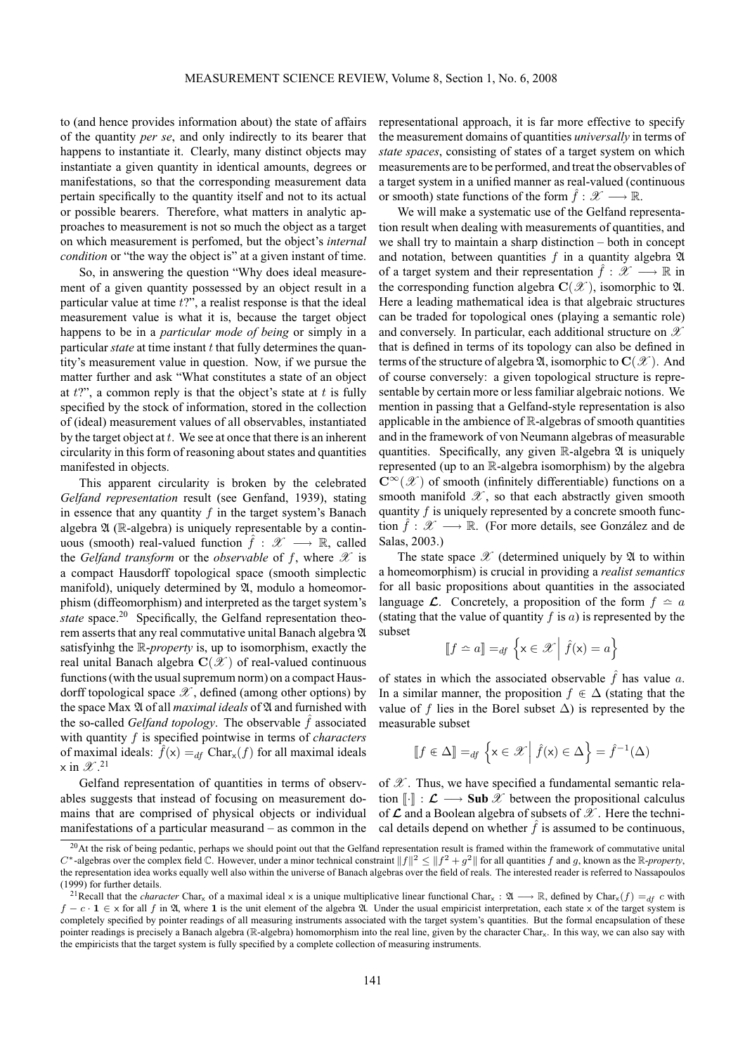to (and hence provides information about) the state of affairs of the quantity *per se*, and only indirectly to its bearer that happens to instantiate it. Clearly, many distinct objects may instantiate a given quantity in identical amounts, degrees or manifestations, so that the corresponding measurement data pertain specifically to the quantity itself and not to its actual or possible bearers. Therefore, what matters in analytic approaches to measurement is not so much the object as a target on which measurement is perfomed, but the object's *internal condition* or "the way the object is" at a given instant of time.

So, in answering the question "Why does ideal measurement of a given quantity possessed by an object result in a particular value at time  $t$ ?", a realist response is that the ideal measurement value is what it is, because the target object happens to be in a *particular mode of being* or simply in a particular *state* at time instant t that fully determines the quantity's measurement value in question. Now, if we pursue the matter further and ask "What constitutes a state of an object at  $t$ ?", a common reply is that the object's state at  $t$  is fully specified by the stock of information, stored in the collection of (ideal) measurement values of all observables, instantiated by the target object at  $t$ . We see at once that there is an inherent circularity in this form of reasoning about states and quantities manifested in objects.

This apparent circularity is broken by the celebrated *Gelfand representation* result (see Genfand, 1939), stating in essence that any quantity  $f$  in the target system's Banach algebra  $\mathfrak A$  ( $\mathbb R$ -algebra) is uniquely representable by a continuous (smooth) real-valued function  $\hat{f}: \mathscr{X} \longrightarrow \mathbb{R}$ , called the *Gelfand transform* or the *observable* of f, where  $\mathscr X$  is a compact Hausdorff topological space (smooth simplectic manifold), uniquely determined by  $\mathfrak{A}$ , modulo a homeomorphism (diffeomorphism) and interpreted as the target system's *state* space.<sup>20</sup> Specifically, the Gelfand representation theorem asserts that any real commutative unital Banach algebra A satisfyinhg the R-*property* is, up to isomorphism, exactly the real unital Banach algebra  $\mathbf{C}(\mathscr{X})$  of real-valued continuous functions (with the usual supremum norm) on a compact Hausdorff topological space  $\mathscr X$ , defined (among other options) by the space Max  $\mathfrak A$  of all *maximal ideals* of  $\mathfrak A$  and furnished with the so-called *Gelfand topology*. The observable  $\hat{f}$  associated with quantity f is specified pointwise in terms of *characters* of maximal ideals:  $\hat{f}(x) =_{df}$  Char<sub>x</sub>(f) for all maximal ideals  $\times$  in  $\mathscr{X}$ .<sup>21</sup>

Gelfand representation of quantities in terms of observables suggests that instead of focusing on measurement domains that are comprised of physical objects or individual manifestations of a particular measurand – as common in the representational approach, it is far more effective to specify the measurement domains of quantities *universally* in terms of *state spaces*, consisting of states of a target system on which measurements are to be performed, and treat the observables of a target system in a unified manner as real-valued (continuous or smooth) state functions of the form  $\hat{f}: \mathscr{X} \longrightarrow \mathbb{R}$ .

We will make a systematic use of the Gelfand representation result when dealing with measurements of quantities, and we shall try to maintain a sharp distinction – both in concept and notation, between quantities f in a quantity algebra  $\mathfrak A$ of a target system and their representation  $\hat{f}: \mathscr{X} \longrightarrow \mathbb{R}$  in the corresponding function algebra  $\mathbf{C}(\mathscr{X})$ , isomorphic to  $\mathfrak{A}$ . Here a leading mathematical idea is that algebraic structures can be traded for topological ones (playing a semantic role) and conversely. In particular, each additional structure on  $\mathscr X$ that is defined in terms of its topology can also be defined in terms of the structure of algebra  $\mathfrak{A}$ , isomorphic to  $\mathbf{C}(\mathscr{X})$ . And of course conversely: a given topological structure is representable by certain more or less familiar algebraic notions. We mention in passing that a Gelfand-style representation is also applicable in the ambience of  $\mathbb{R}$ -algebras of smooth quantities and in the framework of von Neumann algebras of measurable quantities. Specifically, any given  $\mathbb R$ -algebra  $\mathfrak A$  is uniquely represented (up to an  $\mathbb R$ -algebra isomorphism) by the algebra  $\mathbb{C}^{\infty}(\mathscr{X})$  of smooth (infinitely differentiable) functions on a smooth manifold  $\mathscr X$ , so that each abstractly given smooth quantity  $f$  is uniquely represented by a concrete smooth function  $\hat{f} : \mathscr{X} \longrightarrow \mathbb{R}$ . (For more details, see González and de Salas, 2003.)

The state space  $\mathscr X$  (determined uniquely by  $\mathfrak A$  to within a homeomorphism) is crucial in providing a *realist semantics* for all basic propositions about quantities in the associated language **L**. Concretely, a proposition of the form  $f \approx a$ (stating that the value of quantity  $f$  is  $a$ ) is represented by the subset subset

$$
[\![f \simeq a]\!] =_{df} \left\{ \mathbf{x} \in \mathcal{X} \middle| \hat{f}(\mathbf{x}) = a \right\}
$$

of states in which the associated observable  $\hat{f}$  has value a. In a similar manner, the proposition  $f \in \Delta$  (stating that the value of f lies in the Borel subset  $\Delta$ ) is represented by the value of f lies in the Borel subset  $\Delta$ ) is represented by the measurable subset

$$
\llbracket f \in \Delta \rrbracket =_{df} \left\{ \mathbf{x} \in \mathcal{X} \middle| \hat{f}(\mathbf{x}) \in \Delta \right\} = \hat{f}^{-1}(\Delta)
$$

of  $\mathscr X$ . Thus, we have specified a fundamental semantic relation  $\lbrack \cdot \rbrack$  :  $\mathcal{L} \longrightarrow$  **Sub**  $\mathcal{X}$  between the propositional calculus of  $\mathcal L$  and a Boolean algebra of subsets of  $\mathcal X$ . Here the technical details depend on whether  $\hat{f}$  is assumed to be continuous,

<sup>&</sup>lt;sup>20</sup>At the risk of being pedantic, perhaps we should point out that the Gelfand representation result is framed within the framework of commutative unital  $C^*$ -algebras over the complex field  $\mathbb C$ . However, under a minor technical constraint  $||f||^2 \leq ||f^2 + g^2||$  for all quantities f and g, known as the R-*property*, the representation idea works equally well also within the universe of Banach algebras over the field of reals. The interested reader is referred to Nassapoulos (1999) for further details.

<sup>&</sup>lt;sup>21</sup>Recall that the *character* Char<sub>x</sub> of a maximal ideal x is a unique multiplicative linear functional Char<sub>x</sub> :  $\mathfrak{A} \longrightarrow \mathbb{R}$ , defined by Char<sub>x</sub>(f) = df c with  $f - c \cdot 1 \in \times$  for all f in  $\mathfrak{A}$ , where 1 is the unit element of the algebra  $\mathfrak{A}$ . Under the usual empiricist interpretation, each state x of the target system is completely specified by pointer readings of all measuring instruments associated with the target system's quantities. But the formal encapsulation of these pointer readings is precisely a Banach algebra (R-algebra) homomorphism into the real line, given by the character Char<sub>x</sub>. In this way, we can also say with the empiricists that the target system is fully specified by a complete collection of measuring instruments.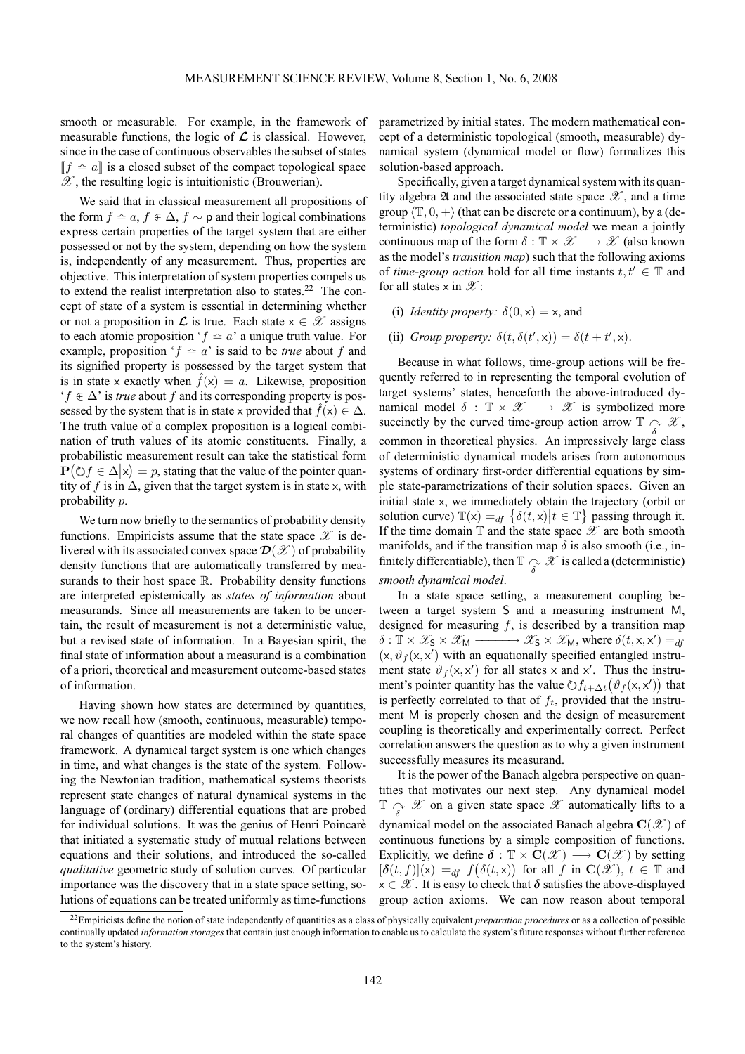smooth or measurable. For example, in the framework of measurable functions, the logic of  $\mathcal L$  is classical. However, since in the case of continuous observables the subset of states  $\llbracket f \rightleftharpoons a \rrbracket$  is a closed subset of the compact topological space  $\mathcal{X}$  the resulting logic is intuitionistic (Brouwerian)  $\mathscr X$ , the resulting logic is intuitionistic (Brouwerian).

We said that in classical measurement all propositions of the form  $f \approx a$ ,  $f \in \Delta$ ,  $f \sim p$  and their logical combinations express certain properties of the target system that are either express certain properties of the target system that are either possessed or not by the system, depending on how the system is, independently of any measurement. Thus, properties are objective. This interpretation of system properties compels us to extend the realist interpretation also to states.<sup>22</sup> The concept of state of a system is essential in determining whether or not a proposition in  $\mathcal L$  is true. Each state  $x \in \mathcal X$  assigns to each atomic proposition ' $f \approx a'$  a unique truth value. For<br>example, proposition ' $f \approx a'$  is said to be *true* about f and example, proposition ' $f \approx a'$  is said to be *true* about f and<br>its signified property is possessed by the target system that its signified property is possessed by the target system that is in state x exactly when  $\hat{f}(x) = a$ . Likewise, proposition 'f  $\in$   $\Delta$ ' is *true* about f and its corresponding property is pos-<br>sessed by the system that is in state × provided that  $\hat{f}$ (×)  $\in \Delta$ sessed by the system that is in state x provided that  $\hat{f}(x) \in \Delta$ . The truth value of a complex proposition is a logical combination of truth values of its atomic constituents. Finally, a probabilistic measurement result can take the statistical form  $\mathbf{P}(\mathcal{O}f \in \Delta | \mathsf{x}) = p$ , stating that the value of the pointer quan-<br>tity of f is in  $\Delta$  given that the target system is in state x, with tity of f is in  $\Delta$ , given that the target system is in state x, with probability p.

We turn now briefly to the semantics of probability density functions. Empiricists assume that the state space  $\mathscr X$  is delivered with its associated convex space  $\mathcal{D}(\mathcal{X})$  of probability density functions that are automatically transferred by measurands to their host space R. Probability density functions are interpreted epistemically as *states of information* about measurands. Since all measurements are taken to be uncertain, the result of measurement is not a deterministic value, but a revised state of information. In a Bayesian spirit, the final state of information about a measurand is a combination of a priori, theoretical and measurement outcome-based states of information.

Having shown how states are determined by quantities, we now recall how (smooth, continuous, measurable) temporal changes of quantities are modeled within the state space framework. A dynamical target system is one which changes in time, and what changes is the state of the system. Following the Newtonian tradition, mathematical systems theorists represent state changes of natural dynamical systems in the language of (ordinary) differential equations that are probed for individual solutions. It was the genius of Henri Poincaré that initiated a systematic study of mutual relations between equations and their solutions, and introduced the so-called *qualitative* geometric study of solution curves. Of particular importance was the discovery that in a state space setting, solutions of equations can be treated uniformly as time-functions

parametrized by initial states. The modern mathematical concept of a deterministic topological (smooth, measurable) dynamical system (dynamical model or flow) formalizes this solution-based approach.

Specifically, given a target dynamical system with its quantity algebra  $\mathfrak A$  and the associated state space  $\mathscr X$ , and a time group  $\langle \mathbb{T}, 0, + \rangle$  (that can be discrete or a continuum), by a (deterministic) *topological dynamical model* we mean a jointly continuous map of the form  $\delta : \mathbb{T} \times \mathcal{X} \longrightarrow \mathcal{X}$  (also known as the model's *transition map*) such that the following axioms of *time-group action* hold for all time instants  $t, t' \in \mathbb{T}$  and for all states  $\times$  in  $\mathscr{X}$ :

- (i) *Identity property:*  $\delta(0, x) = x$ , and
- (ii) *Group property:*  $\delta(t, \delta(t', x)) = \delta(t + t', x)$ .

Because in what follows, time-group actions will be frequently referred to in representing the temporal evolution of target systems' states, henceforth the above-introduced dynamical model  $\delta : \mathbb{T} \times \mathcal{X} \longrightarrow \mathcal{X}$  is symbolized more succinctly by the curved time-group action arrow  $\mathbb{T} \underset{\delta}{\sim} \mathscr{X}$ , common in theoretical physics. An impressively large class of deterministic dynamical models arises from autonomous systems of ordinary first-order differential equations by simple state-parametrizations of their solution spaces. Given an initial state x, we immediately obtain the trajectory (orbit or solution curve)  $\mathbb{T}(x) =_{df} \{ \delta(t, x) | t \in \mathbb{T} \}$  passing through it.<br>If the time domain  $\mathbb{T}$  and the state space  $\mathscr{X}$  are both smooth If the time domain  $\mathbb T$  and the state space  $\mathscr X$  are both smooth manifolds, and if the transition map  $\delta$  is also smooth (i.e., infinitely differentiable), then  $\mathbb{T} \underset{\delta}{\curvearrowright} \mathscr{X}$  is called a (deterministic) *smooth dynamical model*.

In a state space setting, a measurement coupling between a target system S and a measuring instrument M, designed for measuring  $f$ , is described by a transition map  $\delta$ :  $\mathbb{T} \times \mathcal{X}_{\mathsf{S}} \times \mathcal{X}_{\mathsf{M}} \longrightarrow \mathcal{X}_{\mathsf{S}} \times \mathcal{X}_{\mathsf{M}}$ , where  $\delta(t, \mathsf{x}, \mathsf{x}') =_{df}$ <br> $(\mathsf{x}, \mathsf{A}, \mathsf{x}')$  with an equationally specified entangled instru- $(x, \vartheta_f(x, x'))$  with an equationally specified entangled instru-<br>ment state  $\vartheta_f(x, x')$  for all states x and x'. Thus the instrument state  $\vartheta_f(x, x')$  for all states x and x'. Thus the instru-<br>ment's pointer quantity has the value  $\zeta_1 f_{\text{max}}(\vartheta_2(x, x'))$  that ment's pointer quantity has the value  $\mathcal{O}f_{t+\Delta t}(\vartheta_f(\mathsf{x}, \mathsf{x}'))$  that is perfectly correlated to that of  $f_t$ , provided that the instruis perfectly correlated to that of  $f_t$ , provided that the instrument M is properly chosen and the design of measurement coupling is theoretically and experimentally correct. Perfect correlation answers the question as to why a given instrument successfully measures its measurand.

It is the power of the Banach algebra perspective on quantities that motivates our next step. Any dynamical model  $\mathbb{T} \underset{\delta}{\sim} \mathscr{X}$  on a given state space  $\mathscr{X}$  automatically lifts to a dynamical model on the associated Banach algebra  $\mathbf{C}(\mathscr{X})$  of continuous functions by a simple composition of functions. Explicitly, we define  $\delta : \mathbb{T} \times \mathbf{C}(\mathscr{X}) \longrightarrow \mathbf{C}(\mathscr{X})$  by setting  $[\delta(t, f)](x) =_{df} f(\delta(t, x))$  for all f in  $\mathbf{C}(\mathscr{X})$ ,  $t \in \mathbb{T}$  and  $x \in \mathscr{X}$ . It is easy to check that  $\delta$  satisfies the above-displayed  $x \in \mathcal{X}$ . It is easy to check that  $\delta$  satisfies the above-displayed group action axioms. We can now reason about temporal

<sup>22</sup>Empiricists define the notion of state independently of quantities as a class of physically equivalent *preparation procedures* or as a collection of possible continually updated *information storages* that contain just enough information to enable us to calculate the system's future responses without further reference to the system's history.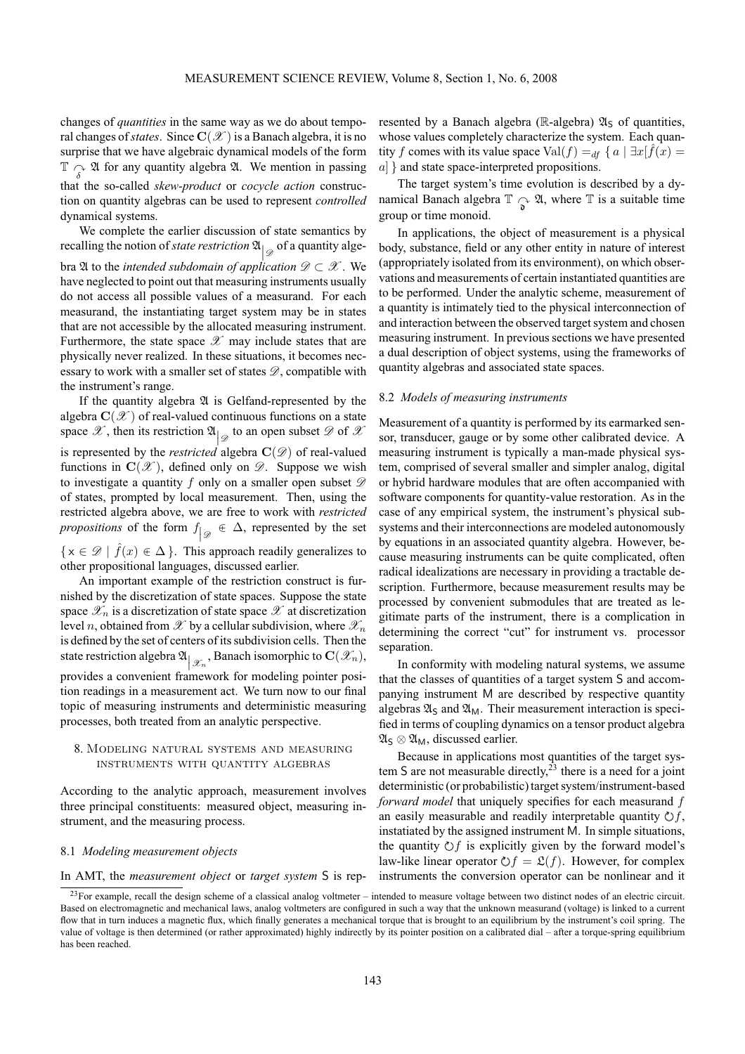changes of *quantities* in the same way as we do about temporal changes of *states*. Since  $C(\mathcal{X})$  is a Banach algebra, it is no surprise that we have algebraic dynamical models of the form  $\mathbb{T} \underset{\delta}{\sim} \mathfrak{A}$  for any quantity algebra  $\mathfrak{A}$ . We mention in passing that the so-called *skew-product* or *cocycle action* construction on quantity algebras can be used to represent *controlled* dynamical systems.

We complete the earlier discussion of state semantics by recalling the notion of *state restriction*  $\mathfrak{A}_{\mathcal{B}}$  of a quantity algebra  $\mathfrak A$  to the *intended subdomain of application*  $\mathscr D \subset \mathscr X$ . We have neglected to point out that measuring instruments usually do not access all possible values of a measurand. For each measurand, the instantiating target system may be in states that are not accessible by the allocated measuring instrument. Furthermore, the state space  $\mathscr X$  may include states that are physically never realized. In these situations, it becomes necessary to work with a smaller set of states  $\mathscr{D}$ , compatible with the instrument's range.

If the quantity algebra  $\mathfrak A$  is Gelfand-represented by the algebra  $\mathbf{C}(\mathscr{X})$  of real-valued continuous functions on a state space  $\mathscr{X}$ , then its restriction  $\mathfrak{A}_{\mathscr{D}}$  to an open subset  $\mathscr{D}$  of  $\mathscr{X}$ is represented by the *restricted* algebra  $\mathbf{C}(\mathcal{D})$  of real-valued functions in  $\mathbf{C}(\mathscr{X})$ , defined only on  $\mathscr{D}$ . Suppose we wish to investigate a quantity f only on a smaller open subset  $\mathscr{D}$ of states, prompted by local measurement. Then, using the restricted algebra above, we are free to work with *restricted propositions* of the form  $f|_{\mathscr{D}} \in \Delta$ , represented by the set

 $\{x \in \mathcal{D} \mid \hat{f}(x) \in \Delta\}$ . This approach readily generalizes to other propositional languages, discussed earlier other propositional languages, discussed earlier.

An important example of the restriction construct is furnished by the discretization of state spaces. Suppose the state space  $\mathscr{X}_n$  is a discretization of state space  $\mathscr X$  at discretization level n, obtained from  $\mathscr X$  by a cellular subdivision, where  $\mathscr X_n$ is defined by the set of centers of its subdivision cells. Then the state restriction algebra  $\mathfrak{A}|_{\mathscr{X}_n}$ , Banach isomorphic to  $\mathbf{C}(\mathscr{X}_n)$ , provides a convenient framework for modeling pointer position readings in a measurement act. We turn now to our final topic of measuring instruments and deterministic measuring processes, both treated from an analytic perspective.

# 8. Modeling natural systems and measuring instruments with quantity algebras

According to the analytic approach, measurement involves three principal constituents: measured object, measuring instrument, and the measuring process.

#### 8.1 *Modeling measurement objects*

In AMT, the *measurement object* or *target system* S is rep-

resented by a Banach algebra ( $\mathbb{R}$ -algebra)  $\mathfrak{A}_S$  of quantities, whose values completely characterize the system. Each quantity f comes with its value space Val $(f) = df$  {  $a | \exists x [f(x)] =$ a] } and state space-interpreted propositions.

The target system's time evolution is described by a dynamical Banach algebra  $\mathbb{T} \curvearrowright \mathfrak{A}$ , where  $\mathbb{T}$  is a suitable time group or time monoid.

In applications, the object of measurement is a physical body, substance, field or any other entity in nature of interest (appropriately isolated from its environment), on which observations and measurements of certain instantiated quantities are to be performed. Under the analytic scheme, measurement of a quantity is intimately tied to the physical interconnection of and interaction between the observed target system and chosen measuring instrument. In previous sections we have presented a dual description of object systems, using the frameworks of quantity algebras and associated state spaces.

#### 8.2 *Models of measuring instruments*

Measurement of a quantity is performed by its earmarked sensor, transducer, gauge or by some other calibrated device. A measuring instrument is typically a man-made physical system, comprised of several smaller and simpler analog, digital or hybrid hardware modules that are often accompanied with software components for quantity-value restoration. As in the case of any empirical system, the instrument's physical subsystems and their interconnections are modeled autonomously by equations in an associated quantity algebra. However, because measuring instruments can be quite complicated, often radical idealizations are necessary in providing a tractable description. Furthermore, because measurement results may be processed by convenient submodules that are treated as legitimate parts of the instrument, there is a complication in determining the correct "cut" for instrument vs. processor separation.

In conformity with modeling natural systems, we assume that the classes of quantities of a target system S and accompanying instrument M are described by respective quantity algebras  $\mathfrak{A}_S$  and  $\mathfrak{A}_M$ . Their measurement interaction is specified in terms of coupling dynamics on a tensor product algebra  $\mathfrak{A}_{\mathsf{S}} \otimes \mathfrak{A}_{\mathsf{M}}$ , discussed earlier.

Because in applications most quantities of the target system S are not measurable directly, $2<sup>3</sup>$  there is a need for a joint deterministic (or probabilistic) target system/instrument-based *forward model* that uniquely specifies for each measurand f an easily measurable and readily interpretable quantity  $\circlearrowright f$ , instatiated by the assigned instrument M. In simple situations, the quantity  $\circlearrowright f$  is explicitly given by the forward model's law-like linear operator  $\circlearrowright f = \mathfrak{L}(f)$ . However, for complex instruments the conversion operator can be nonlinear and it

 $^{23}$  For example, recall the design scheme of a classical analog voltmeter – intended to measure voltage between two distinct nodes of an electric circuit. Based on electromagnetic and mechanical laws, analog voltmeters are configured in such a way that the unknown measurand (voltage) is linked to a current flow that in turn induces a magnetic flux, which finally generates a mechanical torque that is brought to an equilibrium by the instrument's coil spring. The value of voltage is then determined (or rather approximated) highly indirectly by its pointer position on a calibrated dial – after a torque-spring equilibrium has been reached.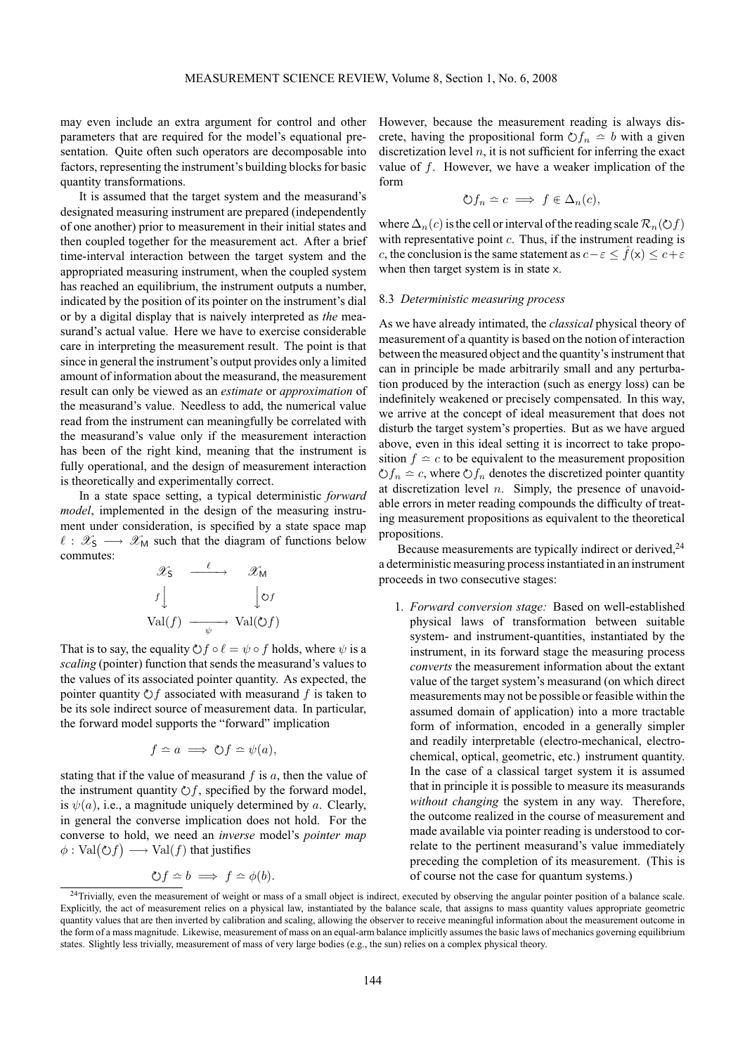may even include an extra argument for control and other parameters that are required for the model's equational presentation. Quite often such operators are decomposable into factors, representing the instrument's building blocks for basic quantity transformations.

It is assumed that the target system and the measurand's designated measuring instrument are prepared (independently of one another) prior to measurement in their initial states and then coupled together for the measurement act. After a brief time-interval interaction between the target system and the appropriated measuring instrument, when the coupled system has reached an equilibrium, the instrument outputs a number, indicated by the position of its pointer on the instrument's dial or by a digital display that is naively interpreted as *the* measurand's actual value. Here we have to exercise considerable care in interpreting the measurement result. The point is that since in general the instrument's output provides only a limited amount of information about the measurand, the measurement result can only be viewed as an *estimate* or *approximation* of the measurand's value. Needless to add, the numerical value read from the instrument can meaningfully be correlated with the measurand's value only if the measurement interaction has been of the right kind, meaning that the instrument is fully operational, and the design of measurement interaction is theoretically and experimentally correct.

In a state space setting, a typical deterministic *forward model*, implemented in the design of the measuring instrument under consideration, is specified by a state space map  $\ell : \mathcal{X}_S \longrightarrow \mathcal{X}_M$  such that the diagram of functions below commutes:

$$
\mathscr{X}_{\mathsf{S}} \xrightarrow{\ell} \mathscr{X}_{\mathsf{M}}
$$
\n
$$
f \downarrow \qquad \qquad \downarrow \mathsf{O}f
$$
\n
$$
\mathrm{Val}(f) \xrightarrow{\psi} \mathrm{Val}(\mathsf{O}f)
$$

That is to say, the equality  $\circ f \circ \ell = \psi \circ f$  holds, where  $\psi$  is a *scaling* (pointer) function that sends the measurand's values to the values of its associated pointer quantity. As expected, the pointer quantity  $\circlearrowright$  f associated with measurand f is taken to be its sole indirect source of measurement data. In particular, the forward model supports the "forward" implication

$$
f \simeq a \implies \bullet f \simeq \psi(a),
$$

stating that if the value of measurand  $f$  is  $a$ , then the value of the instrument quantity  $\circlearrowright f$ , specified by the forward model, is  $\psi(a)$ , i.e., a magnitude uniquely determined by a. Clearly, in general the converse implication does not hold. For the converse to hold, we need an *inverse* model's *pointer map*  $\phi: \mathrm{Val}(\circlearrowright f) \longrightarrow \mathrm{Val}(f)$  that justifies

$$
\bigcirc f \simeq b \implies f \simeq \phi(b).
$$

However, because the measurement reading is always discrete, having the propositional form  $\circlearrowright f_n \simeq b$  with a given<br>discretization level *n* it is not sufficient for inferring the exact discretization level  $n$ , it is not sufficient for inferring the exact value of  $f$ . However, we have a weaker implication of the form

$$
\bigcirc f_n \simeq c \implies f \in \Delta_n(c),
$$

where  $\Delta_n(c)$  is the cell or interval of the reading scale  $\mathcal{R}_n(\mathcal{O} f)$ with representative point  $c$ . Thus, if the instrument reading is c, the conclusion is the same statement as  $c - \varepsilon \leq \hat{f}(\mathsf{x}) \leq c + \varepsilon$ when then target system is in state x.

### 8.3 *Deterministic measuring process*

As we have already intimated, the *classical* physical theory of measurement of a quantity is based on the notion of interaction between the measured object and the quantity's instrument that can in principle be made arbitrarily small and any perturbation produced by the interaction (such as energy loss) can be indefinitely weakened or precisely compensated. In this way, we arrive at the concept of ideal measurement that does not disturb the target system's properties. But as we have argued above, even in this ideal setting it is incorrect to take proposition  $f \cong c$  to be equivalent to the measurement proposition<br> $\zeta \uparrow f \cong c$ , where  $\zeta \uparrow f$  denotes the discretized pointer quantity  $\mathcal{O}f_n \simeq c$ , where  $\mathcal{O}f_n$  denotes the discretized pointer quantity at discretization level *n*. Simply, the presence of upayoidat discretization level  $n$ . Simply, the presence of unavoidable errors in meter reading compounds the difficulty of treating measurement propositions as equivalent to the theoretical propositions.

Because measurements are typically indirect or derived,<sup>24</sup> a deterministic measuring process instantiated in an instrument proceeds in two consecutive stages:

1. *Forward conversion stage:* Based on well-established physical laws of transformation between suitable system- and instrument-quantities, instantiated by the instrument, in its forward stage the measuring process *converts* the measurement information about the extant value of the target system's measurand (on which direct measurements may not be possible or feasible within the assumed domain of application) into a more tractable form of information, encoded in a generally simpler and readily interpretable (electro-mechanical, electrochemical, optical, geometric, etc.) instrument quantity. In the case of a classical target system it is assumed that in principle it is possible to measure its measurands *without changing* the system in any way. Therefore, the outcome realized in the course of measurement and made available via pointer reading is understood to correlate to the pertinent measurand's value immediately preceding the completion of its measurement. (This is of course not the case for quantum systems.)

 $\mathcal{O}f \simeq b \implies f \simeq \phi(b).$  of course not the case for quantum systems.)<br><sup>24</sup>Trivially, even the measurement of weight or mass of a small object is indirect, executed by observing the angular pointer position of a balance Explicitly, the act of measurement relies on a physical law, instantiated by the balance scale, that assigns to mass quantity values appropriate geometric quantity values that are then inverted by calibration and scaling, allowing the observer to receive meaningful information about the measurement outcome in the form of a mass magnitude. Likewise, measurement of mass on an equal-arm balance implicitly assumes the basic laws of mechanics governing equilibrium states. Slightly less trivially, measurement of mass of very large bodies (e.g., the sun) relies on a complex physical theory.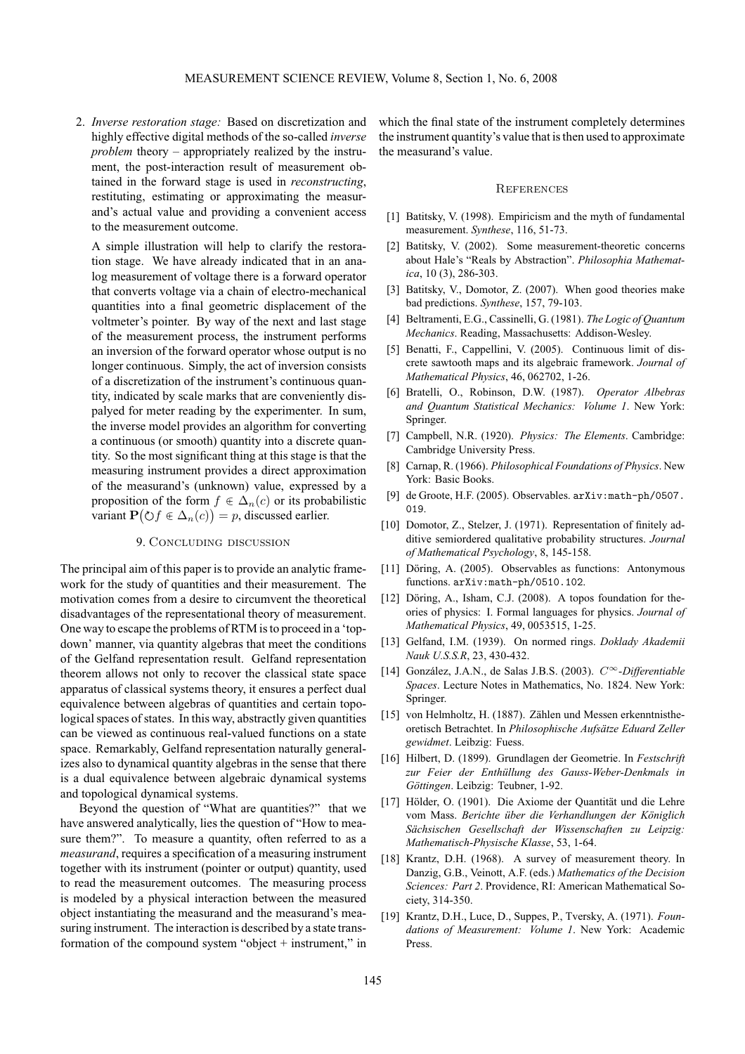2. *Inverse restoration stage:* Based on discretization and highly effective digital methods of the so-called *inverse problem* theory – appropriately realized by the instrument, the post-interaction result of measurement obtained in the forward stage is used in *reconstructing*, restituting, estimating or approximating the measurand's actual value and providing a convenient access to the measurement outcome.

A simple illustration will help to clarify the restoration stage. We have already indicated that in an analog measurement of voltage there is a forward operator that converts voltage via a chain of electro-mechanical quantities into a final geometric displacement of the voltmeter's pointer. By way of the next and last stage of the measurement process, the instrument performs an inversion of the forward operator whose output is no longer continuous. Simply, the act of inversion consists of a discretization of the instrument's continuous quantity, indicated by scale marks that are conveniently dispalyed for meter reading by the experimenter. In sum, the inverse model provides an algorithm for converting a continuous (or smooth) quantity into a discrete quantity. So the most significant thing at this stage is that the measuring instrument provides a direct approximation of the measurand's (unknown) value, expressed by a proposition of the form  $f \in \Delta_n(c)$  or its probabilistic<br>variant  $\mathbf{P}(c) f \in \Delta_n(c)$  or a discussed earlier variant  $\mathbf{P}(\mathcal{O}f \in \Delta_n(c)) = p$ , discussed earlier.

## 9. Concluding discussion

The principal aim of this paper is to provide an analytic framework for the study of quantities and their measurement. The motivation comes from a desire to circumvent the theoretical disadvantages of the representational theory of measurement. One way to escape the problems of RTM is to proceed in a 'topdown' manner, via quantity algebras that meet the conditions of the Gelfand representation result. Gelfand representation theorem allows not only to recover the classical state space apparatus of classical systems theory, it ensures a perfect dual equivalence between algebras of quantities and certain topological spaces of states. In this way, abstractly given quantities can be viewed as continuous real-valued functions on a state space. Remarkably, Gelfand representation naturally generalizes also to dynamical quantity algebras in the sense that there is a dual equivalence between algebraic dynamical systems and topological dynamical systems.

Beyond the question of "What are quantities?" that we have answered analytically, lies the question of "How to measure them?". To measure a quantity, often referred to as a *measurand*, requires a specification of a measuring instrument together with its instrument (pointer or output) quantity, used to read the measurement outcomes. The measuring process is modeled by a physical interaction between the measured object instantiating the measurand and the measurand's measuring instrument. The interaction is described by a state transformation of the compound system "object + instrument," in which the final state of the instrument completely determines the instrument quantity's value that is then used to approximate the measurand's value.

# **REFERENCES**

- [1] Batitsky, V. (1998). Empiricism and the myth of fundamental measurement. *Synthese*, 116, 51-73.
- [2] Batitsky, V. (2002). Some measurement-theoretic concerns about Hale's "Reals by Abstraction". *Philosophia Mathematica*, 10 (3), 286-303.
- [3] Batitsky, V., Domotor, Z. (2007). When good theories make bad predictions. *Synthese*, 157, 79-103.
- [4] Beltramenti, E.G., Cassinelli, G. (1981). *The Logic of Quantum Mechanics*. Reading, Massachusetts: Addison-Wesley.
- [5] Benatti, F., Cappellini, V. (2005). Continuous limit of discrete sawtooth maps and its algebraic framework. *Journal of Mathematical Physics*, 46, 062702, 1-26.
- [6] Bratelli, O., Robinson, D.W. (1987). *Operator Albebras and Quantum Statistical Mechanics: Volume 1*. New York: Springer.
- [7] Campbell, N.R. (1920). *Physics: The Elements*. Cambridge: Cambridge University Press.
- [8] Carnap, R. (1966). *Philosophical Foundations of Physics*. New York: Basic Books.
- [9] de Groote, H.F. (2005). Observables. arXiv: math-ph/0507. 019.
- [10] Domotor, Z., Stelzer, J. (1971). Representation of finitely additive semiordered qualitative probability structures. *Journal of Mathematical Psychology*, 8, 145-158.
- [11] Döring, A. (2005). Observables as functions: Antonymous functions. arXiv:math-ph/0510.102.
- [12] Döring, A., Isham, C.J. (2008). A topos foundation for theories of physics: I. Formal languages for physics. *Journal of Mathematical Physics*, 49, 0053515, 1-25.
- [13] Gelfand, I.M. (1939). On normed rings. *Doklady Akademii Nauk U.S.S.R*, 23, 430-432.
- [14] Gonzalez, J.A.N., de Salas J.B.S. (2003). ´ C<sup>∞</sup>*-Differentiable Spaces*. Lecture Notes in Mathematics, No. 1824. New York: Springer.
- [15] von Helmholtz, H. (1887). Zählen und Messen erkenntnistheoretisch Betrachtet. In *Philosophische Aufsatze Eduard Zeller ¨ gewidmet*. Leibzig: Fuess.
- [16] Hilbert, D. (1899). Grundlagen der Geometrie. In *Festschrift zur Feier der Enthullung des Gauss-Weber-Denkmals in ¨ Göttingen*. Leibzig: Teubner, 1-92.
- [17] Hölder, O. (1901). Die Axiome der Quantität und die Lehre vom Mass. *Berichte uber die Verhandlungen der K ¨ oniglich ¨ Sachsischen Gesellschaft der Wissenschaften zu Leipzig: ¨ Mathematisch-Physische Klasse*, 53, 1-64.
- [18] Krantz, D.H. (1968). A survey of measurement theory. In Danzig, G.B., Veinott, A.F. (eds.) *Mathematics of the Decision Sciences: Part 2*. Providence, RI: American Mathematical Society, 314-350.
- [19] Krantz, D.H., Luce, D., Suppes, P., Tversky, A. (1971). *Foundations of Measurement: Volume 1*. New York: Academic Press.